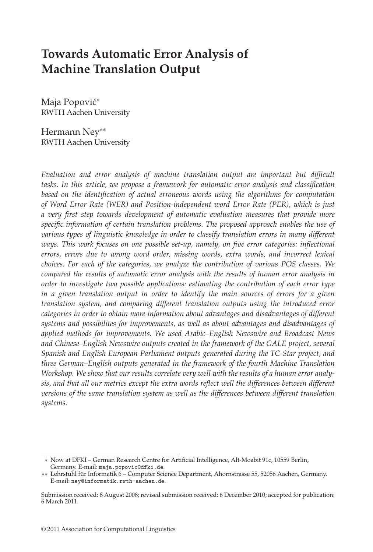# **Towards Automatic Error Analysis of Machine Translation Output**

Maja Popović<sup>\*</sup> RWTH Aachen University

Hermann Ney∗∗ RWTH Aachen University

*Evaluation and error analysis of machine translation output are important but difficult tasks. In this article, we propose a framework for automatic error analysis and classification based on the identification of actual erroneous words using the algorithms for computation of Word Error Rate (WER) and Position-independent word Error Rate (PER), which is just a very first step towards development of automatic evaluation measures that provide more specific information of certain translation problems. The proposed approach enables the use of various types of linguistic knowledge in order to classify translation errors in many different ways. This work focuses on one possible set-up, namely, on five error categories: inflectional errors, errors due to wrong word order, missing words, extra words, and incorrect lexical choices. For each of the categories, we analyze the contribution of various POS classes. We compared the results of automatic error analysis with the results of human error analysis in order to investigate two possible applications: estimating the contribution of each error type in a given translation output in order to identify the main sources of errors for a given translation system, and comparing different translation outputs using the introduced error categories in order to obtain more information about advantages and disadvantages of different systems and possibilites for improvements, as well as about advantages and disadvantages of applied methods for improvements. We used Arabic–English Newswire and Broadcast News and Chinese–English Newswire outputs created in the framework of the GALE project, several Spanish and English European Parliament outputs generated during the TC-Star project, and three German–English outputs generated in the framework of the fourth Machine Translation Workshop. We show that our results correlate very well with the results of a human error analysis, and that all our metrics except the extra words reflect well the differences between different versions of the same translation system as well as the differences between different translation systems.*

<sup>∗</sup> Now at DFKI – German Research Centre for Artificial Intelligence, Alt-Moabit 91c, 10559 Berlin, Germany. E-mail: maja.popovic@dfki.de.

<sup>∗∗</sup> Lehrstuhl fur Informatik 6 – Computer Science Department, Ahornstrasse 55, 52056 Aachen, Germany. ¨ E-mail: ney@informatik.rwth-aachen.de.

Submission received: 8 August 2008; revised submission received: 6 December 2010; accepted for publication: 6 March 2011.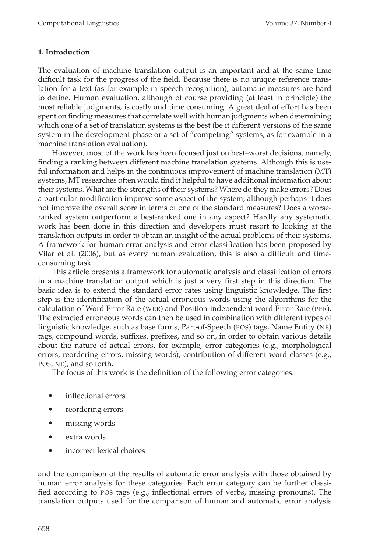# **1. Introduction**

The evaluation of machine translation output is an important and at the same time difficult task for the progress of the field. Because there is no unique reference translation for a text (as for example in speech recognition), automatic measures are hard to define. Human evaluation, although of course providing (at least in principle) the most reliable judgments, is costly and time consuming. A great deal of effort has been spent on finding measures that correlate well with human judgments when determining which one of a set of translation systems is the best (be it different versions of the same system in the development phase or a set of "competing" systems, as for example in a machine translation evaluation).

However, most of the work has been focused just on best–worst decisions, namely, finding a ranking between different machine translation systems. Although this is useful information and helps in the continuous improvement of machine translation (MT) systems, MT researches often would find it helpful to have additional information about their systems. What are the strengths of their systems? Where do they make errors? Does a particular modification improve some aspect of the system, although perhaps it does not improve the overall score in terms of one of the standard measures? Does a worseranked system outperform a best-ranked one in any aspect? Hardly any systematic work has been done in this direction and developers must resort to looking at the translation outputs in order to obtain an insight of the actual problems of their systems. A framework for human error analysis and error classification has been proposed by Vilar et al. (2006), but as every human evaluation, this is also a difficult and timeconsuming task.

This article presents a framework for automatic analysis and classification of errors in a machine translation output which is just a very first step in this direction. The basic idea is to extend the standard error rates using linguistic knowledge. The first step is the identification of the actual erroneous words using the algorithms for the calculation of Word Error Rate (WER) and Position-independent word Error Rate (PER). The extracted erroneous words can then be used in combination with different types of linguistic knowledge, such as base forms, Part-of-Speech (POS) tags, Name Entity (NE) tags, compound words, suffixes, prefixes, and so on, in order to obtain various details about the nature of actual errors, for example, error categories (e.g., morphological errors, reordering errors, missing words), contribution of different word classes (e.g., POS, NE), and so forth.

The focus of this work is the definition of the following error categories:

- inflectional errors
- $\bullet$ reordering errors
- $\bullet$ missing words
- extra words
- incorrect lexical choices

and the comparison of the results of automatic error analysis with those obtained by human error analysis for these categories. Each error category can be further classified according to POS tags (e.g., inflectional errors of verbs, missing pronouns). The translation outputs used for the comparison of human and automatic error analysis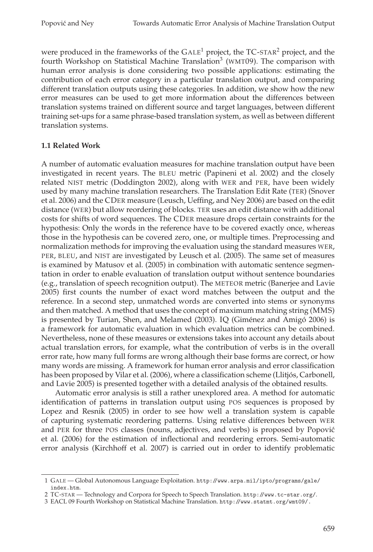were produced in the frameworks of the  $GALE<sup>1</sup>$  project, the  $TC-STAR<sup>2</sup>$  project, and the fourth Workshop on Statistical Machine Translation<sup>3</sup> (WMT09). The comparison with human error analysis is done considering two possible applications: estimating the contribution of each error category in a particular translation output, and comparing different translation outputs using these categories. In addition, we show how the new error measures can be used to get more information about the differences between translation systems trained on different source and target languages, between different training set-ups for a same phrase-based translation system, as well as between different translation systems.

### **1.1 Related Work**

A number of automatic evaluation measures for machine translation output have been investigated in recent years. The BLEU metric (Papineni et al. 2002) and the closely related NIST metric (Doddington 2002), along with WER and PER, have been widely used by many machine translation researchers. The Translation Edit Rate (TER) (Snover et al. 2006) and the CDER measure (Leusch, Ueffing, and Ney 2006) are based on the edit distance (WER) but allow reordering of blocks. TER uses an edit distance with additional costs for shifts of word sequences. The CDER measure drops certain constraints for the hypothesis: Only the words in the reference have to be covered exactly once, whereas those in the hypothesis can be covered zero, one, or multiple times. Preprocessing and normalization methods for improving the evaluation using the standard measures WER, PER, BLEU, and NIST are investigated by Leusch et al. (2005). The same set of measures is examined by Matusov et al. (2005) in combination with automatic sentence segmentation in order to enable evaluation of translation output without sentence boundaries (e.g., translation of speech recognition output). The METEOR metric (Banerjee and Lavie 2005) first counts the number of exact word matches between the output and the reference. In a second step, unmatched words are converted into stems or synonyms and then matched. A method that uses the concept of maximum matching string (MMS) is presented by Turian, Shen, and Melamed  $(2003)$ . IQ  $(Giménez and Amigó 2006)$  is a framework for automatic evaluation in which evaluation metrics can be combined. Nevertheless, none of these measures or extensions takes into account any details about actual translation errors, for example, what the contribution of verbs is in the overall error rate, how many full forms are wrong although their base forms are correct, or how many words are missing. A framework for human error analysis and error classification has been proposed by Vilar et al. (2006), where a classification scheme (Llitjós, Carbonell, and Lavie 2005) is presented together with a detailed analysis of the obtained results.

Automatic error analysis is still a rather unexplored area. A method for automatic identification of patterns in translation output using POS sequences is proposed by Lopez and Resnik (2005) in order to see how well a translation system is capable of capturing systematic reordering patterns. Using relative differences between WER and PER for three POS classes (nouns, adjectives, and verbs) is proposed by Popović et al. (2006) for the estimation of inflectional and reordering errors. Semi-automatic error analysis (Kirchhoff et al. 2007) is carried out in order to identify problematic

<sup>1</sup> GALE — Global Autonomous Language Exploitation. http://www.arpa.mil/ipto/programs/gale/ index.htm.

<sup>2</sup> TC-STAR — Technology and Corpora for Speech to Speech Translation. http://www.tc-star.org/.

<sup>3</sup> EACL 09 Fourth Workshop on Statistical Machine Translation. http://www.statmt.org/wmt09/.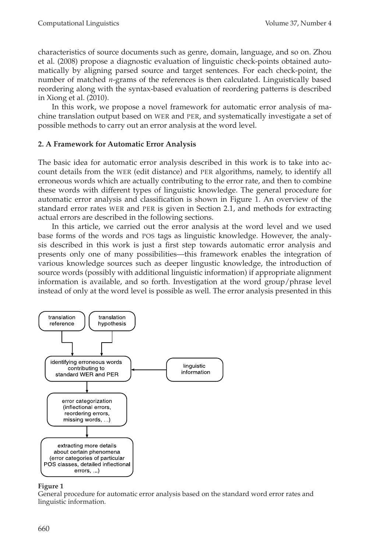characteristics of source documents such as genre, domain, language, and so on. Zhou et al. (2008) propose a diagnostic evaluation of linguistic check-points obtained automatically by aligning parsed source and target sentences. For each check-point, the number of matched *n*-grams of the references is then calculated. Linguistically based reordering along with the syntax-based evaluation of reordering patterns is described in Xiong et al. (2010).

In this work, we propose a novel framework for automatic error analysis of machine translation output based on WER and PER, and systematically investigate a set of possible methods to carry out an error analysis at the word level.

### **2. A Framework for Automatic Error Analysis**

The basic idea for automatic error analysis described in this work is to take into account details from the WER (edit distance) and PER algorithms, namely, to identify all erroneous words which are actually contributing to the error rate, and then to combine these words with different types of linguistic knowledge. The general procedure for automatic error analysis and classification is shown in Figure 1. An overview of the standard error rates WER and PER is given in Section 2.1, and methods for extracting actual errors are described in the following sections.

In this article, we carried out the error analysis at the word level and we used base forms of the words and POS tags as linguistic knowledge. However, the analysis described in this work is just a first step towards automatic error analysis and presents only one of many possibilities—this framework enables the integration of various knowledge sources such as deeper lingustic knowledge, the introduction of source words (possibly with additional linguistic information) if appropriate alignment information is available, and so forth. Investigation at the word group/phrase level instead of only at the word level is possible as well. The error analysis presented in this



#### **Figure 1**

General procedure for automatic error analysis based on the standard word error rates and linguistic information.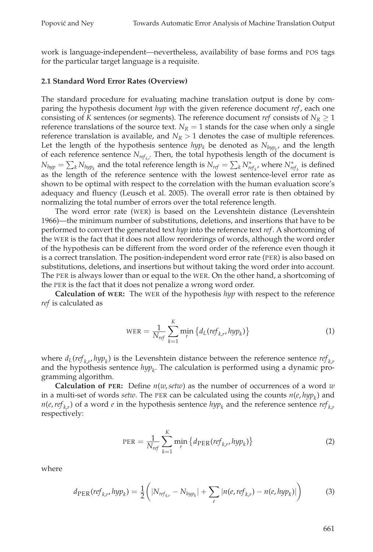work is language-independent—nevertheless, availability of base forms and POS tags for the particular target language is a requisite.

#### **2.1 Standard Word Error Rates (Overview)**

The standard procedure for evaluating machine translation output is done by comparing the hypothesis document *hyp* with the given reference document *ref*, each one consisting of *K* sentences (or segments). The reference document *ref* consists of  $N_R \geq 1$ reference translations of the source text.  $N_R = 1$  stands for the case when only a single reference translation is available, and  $N_R > 1$  denotes the case of multiple references. Let the length of the hypothesis sentence  $hyp_k$  be denoted as  $N_{hyp_k}$ , and the length of each reference sentence  $N_{ref_{k,r}}$ . Then, the total hypothesis length of the document is  $N_{hyp} = \sum_k N_{hyp_k}$  and the total reference length is  $N_{ref} = \sum_k N^*_{ref_k}$ , where  $N^*_{ref_k}$  is defined as the length of the reference sentence with the lowest sentence-level error rate as shown to be optimal with respect to the correlation with the human evaluation score's adequacy and fluency (Leusch et al. 2005). The overall error rate is then obtained by normalizing the total number of errors over the total reference length.

The word error rate (WER) is based on the Levenshtein distance (Levenshtein 1966)—the minimum number of substitutions, deletions, and insertions that have to be performed to convert the generated text *hyp* into the reference text *ref*. A shortcoming of the WER is the fact that it does not allow reorderings of words, although the word order of the hypothesis can be different from the word order of the reference even though it is a correct translation. The position-independent word error rate (PER) is also based on substitutions, deletions, and insertions but without taking the word order into account. The PER is always lower than or equal to the WER. On the other hand, a shortcoming of the PER is the fact that it does not penalize a wrong word order.

**Calculation of WER:** The WER of the hypothesis *hyp* with respect to the reference *ref* is calculated as

$$
WER = \frac{1}{N_{ref}} \sum_{k=1}^{K} \min_{r} \left\{ d_{L}(ref_{k,r}, hyp_{k}) \right\}
$$
 (1)

where  $d_L(ref_{k,r}, hyp_k)$  is the Levenshtein distance between the reference sentence  $ref_{k,r}$ and the hypothesis sentence  $hyp_k$ . The calculation is performed using a dynamic programming algorithm.

**Calculation of PER:** Define *n*(*w*,*setw*) as the number of occurrences of a word *w* in a multi-set of words *setw*. The PER can be calculated using the counts  $n(e, hyp_k)$  and  $n(e, ref_{k,r})$  of a word *e* in the hypothesis sentence  $hyp_k$  and the reference sentence  $ref_{k,r}$ respectively:

$$
PER = \frac{1}{N_{ref}} \sum_{k=1}^{K} \min_{r} \left\{ d_{PER}(ref_{k,r}, hyp_k) \right\}
$$
 (2)

where

$$
d_{\text{PER}}(\text{ref}_{k,r}, hyp_k) = \frac{1}{2} \bigg( |N_{\text{ref}_{k,r}} - N_{hyp_k}| + \sum_{e} |n(e, \text{ref}_{k,r}) - n(e, hyp_k)| \bigg) \tag{3}
$$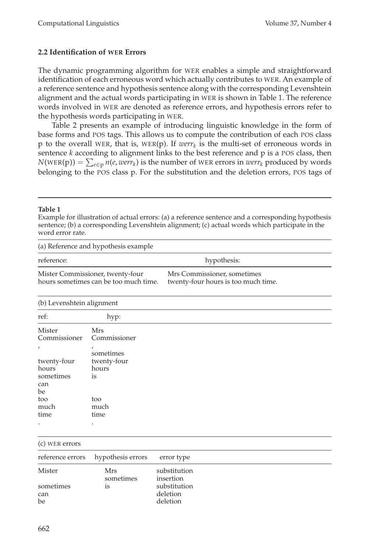# **2.2 Identification of WER Errors**

The dynamic programming algorithm for WER enables a simple and straightforward identification of each erroneous word which actually contributes to WER. An example of a reference sentence and hypothesis sentence along with the corresponding Levenshtein alignment and the actual words participating in WER is shown in Table 1. The reference words involved in WER are denoted as reference errors, and hypothesis errors refer to the hypothesis words participating in WER.

Table 2 presents an example of introducing linguistic knowledge in the form of base forms and POS tags. This allows us to compute the contribution of each POS class p to the overall WER, that is,  $WER(p)$ . If  $werr_k$  is the multi-set of erroneous words in sentence *k* according to alignment links to the best reference and p is a POS class, then  $N(\text{WER}(p)) = \sum_{e \in p} n(e, \text{werr}_k)$  is the number of WER errors in  $\text{werr}_k$  produced by words belonging to the POS class p. For the substitution and the deletion errors, POS tags of

#### **Table 1**

Example for illustration of actual errors: (a) a reference sentence and a corresponding hypothesis sentence; (b) a corresponding Levenshtein alignment; (c) actual words which participate in the word error rate.

|                           | (a) Reference and hypothesis example                                      |                                                                    |  |
|---------------------------|---------------------------------------------------------------------------|--------------------------------------------------------------------|--|
| reference:                |                                                                           | hypothesis:                                                        |  |
|                           | Mister Commissioner, twenty-four<br>hours sometimes can be too much time. | Mrs Commissioner, sometimes<br>twenty-four hours is too much time. |  |
| (b) Levenshtein alignment |                                                                           |                                                                    |  |
| ref:                      | hyp:                                                                      |                                                                    |  |
| Mister<br>Commissioner    | Mrs<br>Commissioner                                                       |                                                                    |  |

| $\prime$    | $\prime$<br>sometimes |  |  |
|-------------|-----------------------|--|--|
| twenty-four | twenty-four           |  |  |
| hours       | hours                 |  |  |
| sometimes   | is                    |  |  |
| can         |                       |  |  |
| be          |                       |  |  |
| too         | too                   |  |  |
| much        | much                  |  |  |
| time        | time                  |  |  |
| $\bullet$   | ٠                     |  |  |

#### (c) WER errors

|           | reference errors hypothesis errors | error type   |
|-----------|------------------------------------|--------------|
| Mister    | Mrs                                | substitution |
|           | sometimes                          | insertion    |
| sometimes | 1S                                 | substitution |
| can       |                                    | deletion     |
| be        |                                    | deletion     |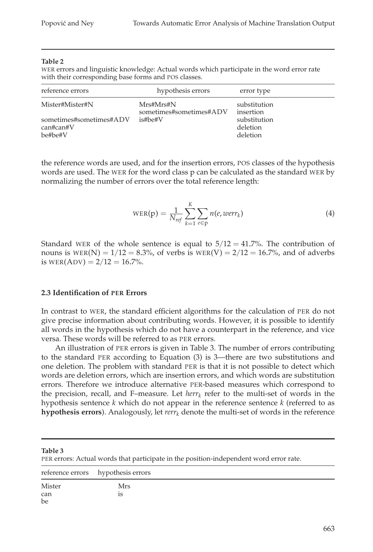WER errors and linguistic knowledge: Actual words which participate in the word error rate with their corresponding base forms and POS classes.

| reference errors                                       | hypothesis errors                    | error type                           |
|--------------------------------------------------------|--------------------------------------|--------------------------------------|
| Mister#Mister#N                                        | Mrs#Mrs#N<br>sometimes#sometimes#ADV | substitution<br>insertion            |
| sometimes#sometimes#ADV<br>$can \# can \#V$<br>be#be#V | is#be#V                              | substitution<br>deletion<br>deletion |

the reference words are used, and for the insertion errors, POS classes of the hypothesis words are used. The WER for the word class p can be calculated as the standard WER by normalizing the number of errors over the total reference length:

$$
WER(p) = \frac{1}{N_{ref}} \sum_{k=1}^{K} \sum_{e \in p} n(e, \text{werr}_k)
$$
\n(4)

Standard WER of the whole sentence is equal to  $5/12 = 41.7$ %. The contribution of nouns is  $WER(N) = 1/12 = 8.3\%$ , of verbs is  $WER(V) = 2/12 = 16.7\%$ , and of adverbs is  $WER(ADV) = 2/12 = 16.7\%$ .

#### **2.3 Identification of PER Errors**

In contrast to WER, the standard efficient algorithms for the calculation of PER do not give precise information about contributing words. However, it is possible to identify all words in the hypothesis which do not have a counterpart in the reference, and vice versa. These words will be referred to as PER errors.

An illustration of PER errors is given in Table 3. The number of errors contributing to the standard PER according to Equation (3) is 3—there are two substitutions and one deletion. The problem with standard PER is that it is not possible to detect which words are deletion errors, which are insertion errors, and which words are substitution errors. Therefore we introduce alternative PER-based measures which correspond to the precision, recall, and F-measure. Let  $herr_k$  refer to the multi-set of words in the hypothesis sentence *k* which do not appear in the reference sentence *k* (referred to as **hypothesis errors**). Analogously, let *rerrk* denote the multi-set of words in the reference

| Table 3   |                                                                                                                                     |  |
|-----------|-------------------------------------------------------------------------------------------------------------------------------------|--|
|           | PER errors: Actual words that participate in the position-independent word error rate.<br>reference errors hypothesis errors<br>Mrs |  |
| Mister    |                                                                                                                                     |  |
| can<br>he | 1S                                                                                                                                  |  |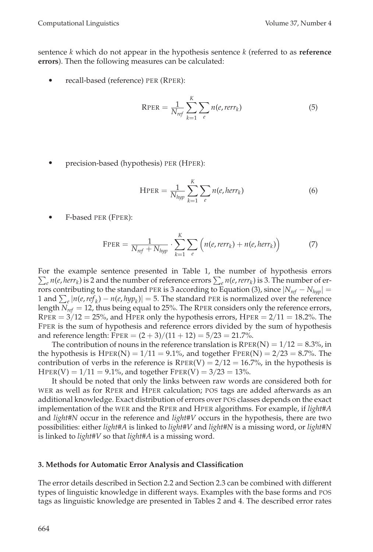Computational Linguistics Volume 37, Number 4

sentence *k* which do not appear in the hypothesis sentence *k* (referred to as **reference errors**). Then the following measures can be calculated:

recall-based (reference) PER (RPER):

$$
RPER = \frac{1}{N_{ref}} \sum_{k=1}^{K} \sum_{e} n(e, rerr_k)
$$
 (5)

precision-based (hypothesis) PER (HPER):

$$
HPER = \frac{1}{N_{hyp}} \sum_{k=1}^{K} \sum_{e} n(e, herr_k)
$$
 (6)

-F-based PER (FPER):

$$
\text{FPER} = \frac{1}{N_{ref} + N_{hyp}} \cdot \sum_{k=1}^{K} \sum_{e} \left( n(e, rerr_k) + n(e, herr_k) \right) \tag{7}
$$

 $\sum_{e} n(e, herr_k)$  is 2 and the number of reference errors  $\sum_{e} n(e, rerr_k)$  is 3. The number of er-For the example sentence presented in Table 1, the number of hypothesis errors rors contributing to the standard PER is 3 according to Equation (3), since  $|N_{ref} - N_{hup}| =$ 1 and  $\sum_{e} |n(e, ref_k) - n(e, hyp_k)| = 5$ . The standard PER is normalized over the reference length  $N_{ref} = 12$ , thus being equal to 25%. The RPER considers only the reference errors, RPER  $= 3/12 = 25\%$ , and HPER only the hypothesis errors, HPER  $= 2/11 = 18.2\%$ . The FPER is the sum of hypothesis and reference errors divided by the sum of hypothesis and reference length: FPER =  $(2 + 3)/(11 + 12) = 5/23 = 21.7%$ .

The contribution of nouns in the reference translation is  $RPER(N) = 1/12 = 8.3\%$ , in the hypothesis is  $HPER(N) = 1/11 = 9.1\%$ , and together  $FPER(N) = 2/23 = 8.7\%$ . The contribution of verbs in the reference is  $RPER(V) = 2/12 = 16.7\%$ , in the hypothesis is  $HPER(V) = 1/11 = 9.1\%$ , and together  $FPER(V) = 3/23 = 13\%$ .

It should be noted that only the links between raw words are considered both for WER as well as for RPER and HPER calculation; POS tags are added afterwards as an additional knowledge. Exact distribution of errors over POS classes depends on the exact implementation of the WER and the RPER and HPER algorithms. For example, if *light#A* and *light#N* occur in the reference and *light#V* occurs in the hypothesis, there are two possibilities: either *light#A* is linked to *light#V* and *light#N* is a missing word, or *light#N* is linked to *light#V* so that *light#A* is a missing word.

#### **3. Methods for Automatic Error Analysis and Classification**

The error details described in Section 2.2 and Section 2.3 can be combined with different types of linguistic knowledge in different ways. Examples with the base forms and POS tags as linguistic knowledge are presented in Tables 2 and 4. The described error rates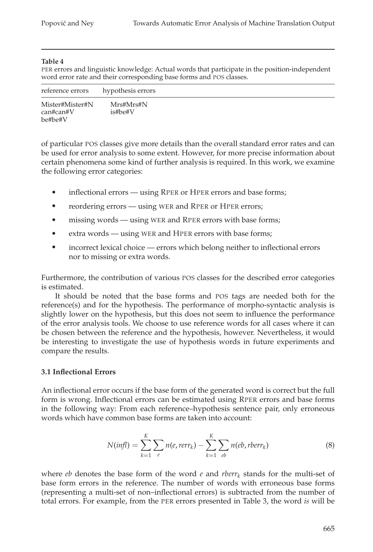PER errors and linguistic knowledge: Actual words that participate in the position-independent word error rate and their corresponding base forms and POS classes.

| reference errors                        | hypothesis errors    |  |
|-----------------------------------------|----------------------|--|
| Mister#Mister#N<br>can#can#V<br>be#be#V | Mrs#Mrs#N<br>is#be#V |  |

of particular POS classes give more details than the overall standard error rates and can be used for error analysis to some extent. However, for more precise information about certain phenomena some kind of further analysis is required. In this work, we examine the following error categories:

- inflectional errors — using RPER or HPER errors and base forms;
- reordering errors — using WER and RPER or HPER errors;
- $\bullet$ missing words — using WER and RPER errors with base forms;
- $\bullet$ extra words — using WER and HPER errors with base forms;
- $\bullet$  incorrect lexical choice — errors which belong neither to inflectional errors nor to missing or extra words.

Furthermore, the contribution of various POS classes for the described error categories is estimated.

It should be noted that the base forms and POS tags are needed both for the reference(s) and for the hypothesis. The performance of morpho-syntactic analysis is slightly lower on the hypothesis, but this does not seem to influence the performance of the error analysis tools. We choose to use reference words for all cases where it can be chosen between the reference and the hypothesis, however. Nevertheless, it would be interesting to investigate the use of hypothesis words in future experiments and compare the results.

### **3.1 Inflectional Errors**

An inflectional error occurs if the base form of the generated word is correct but the full form is wrong. Inflectional errors can be estimated using RPER errors and base forms in the following way: From each reference–hypothesis sentence pair, only erroneous words which have common base forms are taken into account:

$$
N(infl) = \sum_{k=1}^{K} \sum_{e} n(e, rerr_k) - \sum_{k=1}^{K} \sum_{eb} n(eb, rberr_k)
$$
\n(8)

where *eb* denotes the base form of the word *e* and *rberr<sub>k</sub>* stands for the multi-set of base form errors in the reference. The number of words with erroneous base forms (representing a multi-set of non–inflectional errors) is subtracted from the number of total errors. For example, from the PER errors presented in Table 3, the word *is* will be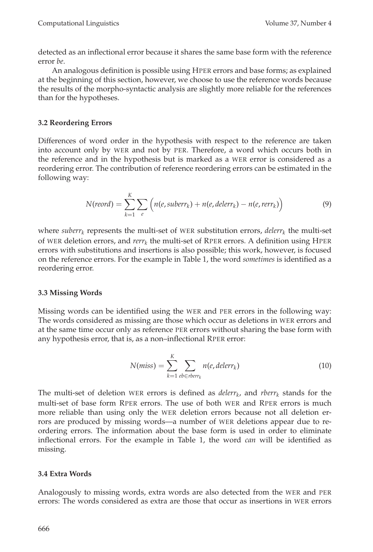detected as an inflectional error because it shares the same base form with the reference error *be*.

An analogous definition is possible using HPER errors and base forms; as explained at the beginning of this section, however, we choose to use the reference words because the results of the morpho-syntactic analysis are slightly more reliable for the references than for the hypotheses.

# **3.2 Reordering Errors**

Differences of word order in the hypothesis with respect to the reference are taken into account only by WER and not by PER. Therefore, a word which occurs both in the reference and in the hypothesis but is marked as a WER error is considered as a reordering error. The contribution of reference reordering errors can be estimated in the following way:

$$
N(reord) = \sum_{k=1}^{K} \sum_{e} \left( n(e, suberr_k) + n(e, delerr_k) - n(e, rerr_k) \right)
$$
(9)

where *suberr<sub>k</sub>* represents the multi-set of WER substitution errors, *delerr<sub>k</sub>* the multi-set of WER deletion errors, and *rerr<sub>k</sub>* the multi-set of RPER errors. A definition using HPER errors with substitutions and insertions is also possible; this work, however, is focused on the reference errors. For the example in Table 1, the word *sometimes* is identified as a reordering error.

### **3.3 Missing Words**

Missing words can be identified using the WER and PER errors in the following way: The words considered as missing are those which occur as deletions in WER errors and at the same time occur only as reference PER errors without sharing the base form with any hypothesis error, that is, as a non–inflectional RPER error:

$$
N(miss) = \sum_{k=1}^{K} \sum_{eb \in rberr_k} n(e, delerr_k)
$$
 (10)

The multi-set of deletion WER errors is defined as  $deler<sub>k</sub>$ , and  $rber<sub>k</sub>$  stands for the multi-set of base form RPER errors. The use of both WER and RPER errors is much more reliable than using only the WER deletion errors because not all deletion errors are produced by missing words—a number of WER deletions appear due to reordering errors. The information about the base form is used in order to eliminate inflectional errors. For the example in Table 1, the word *can* will be identified as missing.

# **3.4 Extra Words**

Analogously to missing words, extra words are also detected from the WER and PER errors: The words considered as extra are those that occur as insertions in WER errors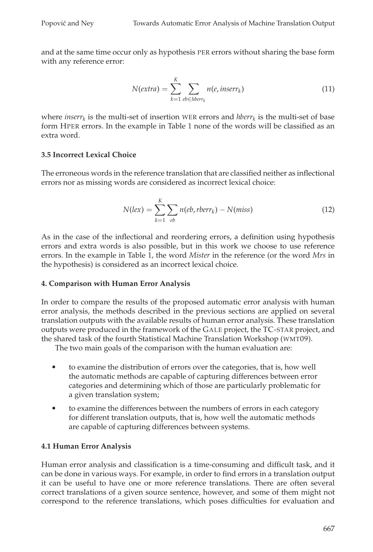and at the same time occur only as hypothesis PER errors without sharing the base form with any reference error:

$$
N(extra) = \sum_{k=1}^{K} \sum_{eb \in hberry_k} n(e, insert_k)
$$
\n(11)

where *inserr<sub>k</sub>* is the multi-set of insertion WER errors and *hberr<sub>k</sub>* is the multi-set of base form HPER errors. In the example in Table 1 none of the words will be classified as an extra word.

## **3.5 Incorrect Lexical Choice**

The erroneous words in the reference translation that are classified neither as inflectional errors nor as missing words are considered as incorrect lexical choice:

$$
N(lex) = \sum_{k=1}^{K} \sum_{eb} n(eb, rberr_k) - N(miss)
$$
 (12)

As in the case of the inflectional and reordering errors, a definition using hypothesis errors and extra words is also possible, but in this work we choose to use reference errors. In the example in Table 1, the word *Mister* in the reference (or the word *Mrs* in the hypothesis) is considered as an incorrect lexical choice.

# **4. Comparison with Human Error Analysis**

In order to compare the results of the proposed automatic error analysis with human error analysis, the methods described in the previous sections are applied on several translation outputs with the available results of human error analysis. These translation outputs were produced in the framework of the GALE project, the TC-STAR project, and the shared task of the fourth Statistical Machine Translation Workshop (WMT09).

The two main goals of the comparison with the human evaluation are:

- $\bullet$  to examine the distribution of errors over the categories, that is, how well the automatic methods are capable of capturing differences between error categories and determining which of those are particularly problematic for a given translation system;
- $\bullet$  to examine the differences between the numbers of errors in each category for different translation outputs, that is, how well the automatic methods are capable of capturing differences between systems.

# **4.1 Human Error Analysis**

Human error analysis and classification is a time-consuming and difficult task, and it can be done in various ways. For example, in order to find errors in a translation output it can be useful to have one or more reference translations. There are often several correct translations of a given source sentence, however, and some of them might not correspond to the reference translations, which poses difficulties for evaluation and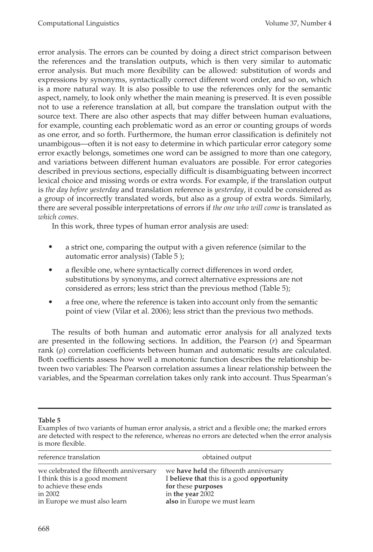error analysis. The errors can be counted by doing a direct strict comparison between the references and the translation outputs, which is then very similar to automatic error analysis. But much more flexibility can be allowed: substitution of words and expressions by synonyms, syntactically correct different word order, and so on, which is a more natural way. It is also possible to use the references only for the semantic aspect, namely, to look only whether the main meaning is preserved. It is even possible not to use a reference translation at all, but compare the translation output with the source text. There are also other aspects that may differ between human evaluations, for example, counting each problematic word as an error or counting groups of words as one error, and so forth. Furthermore, the human error classification is definitely not unambigous—often it is not easy to determine in which particular error category some error exactly belongs, sometimes one word can be assigned to more than one category, and variations between different human evaluators are possible. For error categories described in previous sections, especially difficult is disambiguating between incorrect lexical choice and missing words or extra words. For example, if the translation output is *the day before yesterday* and translation reference is *yesterday*, it could be considered as a group of incorrectly translated words, but also as a group of extra words. Similarly, there are several possible interpretations of errors if *the one who will come* is translated as *which comes*.

In this work, three types of human error analysis are used:

- a strict one, comparing the output with a given reference (similar to the automatic error analysis) (Table 5 );
- $\bullet$  a flexible one, where syntactically correct differences in word order, substitutions by synonyms, and correct alternative expressions are not considered as errors; less strict than the previous method (Table 5);
- a free one, where the reference is taken into account only from the semantic point of view (Vilar et al. 2006); less strict than the previous two methods.

The results of both human and automatic error analysis for all analyzed texts are presented in the following sections. In addition, the Pearson (*r*) and Spearman rank (ρ) correlation coefficients between human and automatic results are calculated. Both coefficients assess how well a monotonic function describes the relationship between two variables: The Pearson correlation assumes a linear relationship between the variables, and the Spearman correlation takes only rank into account. Thus Spearman's

#### **Table 5**

| Examples of two variants of human error analysis, a strict and a flexible one; the marked errors   |  |  |  |
|----------------------------------------------------------------------------------------------------|--|--|--|
| are detected with respect to the reference, whereas no errors are detected when the error analysis |  |  |  |
| is more flexible.                                                                                  |  |  |  |

| reference translation                   | obtained output                           |
|-----------------------------------------|-------------------------------------------|
| we celebrated the fifteenth anniversary | we have held the fifteenth anniversary    |
| I think this is a good moment           | I believe that this is a good opportunity |
| to achieve these ends                   | for these purposes                        |
| in 2002                                 | in the year 2002                          |
| in Europe we must also learn            | also in Europe we must learn              |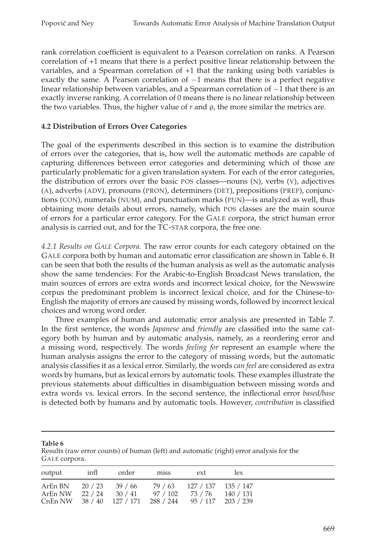rank correlation coefficient is equivalent to a Pearson correlation on ranks. A Pearson correlation of +1 means that there is a perfect positive linear relationship between the variables, and a Spearman correlation of +1 that the ranking using both variables is exactly the same. A Pearson correlation of  $-1$  means that there is a perfect negative linear relationship between variables, and a Spearman correlation of −1 that there is an exactly inverse ranking. A correlation of 0 means there is no linear relationship between the two variables. Thus, the higher value of *r* and ρ, the more similar the metrics are.

### **4.2 Distribution of Errors Over Categories**

The goal of the experiments described in this section is to examine the distribution of errors over the categories, that is, how well the automatic methods are capable of capturing differences between error categories and determining which of those are particularly problematic for a given translation system. For each of the error categories, the distribution of errors over the basic POS classes—nouns (N), verbs (V), adjectives (A), adverbs (ADV), pronouns (PRON), determiners (DET), prepositions (PREP), conjunctions (CON), numerals (NUM), and punctuation marks (PUN)—is analyzed as well, thus obtaining more details about errors, namely, which POS classes are the main source of errors for a particular error category. For the GALE corpora, the strict human error analysis is carried out, and for the TC-STAR corpora, the free one.

*4.2.1 Results on GALE Corpora.* The raw error counts for each category obtained on the GALE corpora both by human and automatic error classification are shown in Table 6. It can be seen that both the results of the human analysis as well as the automatic analysis show the same tendencies: For the Arabic-to-English Broadcast News translation, the main sources of errors are extra words and incorrect lexical choice, for the Newswire corpus the predominant problem is incorrect lexical choice, and for the Chinese-to-English the majority of errors are caused by missing words, followed by incorrect lexical choices and wrong word order.

Three examples of human and automatic error analysis are presented in Table 7. In the first sentence, the words *Japanese* and *friendly* are classified into the same category both by human and by automatic analysis, namely, as a reordering error and a missing word, respectively. The words *feeling for* represent an example where the human analysis assigns the error to the category of missing words, but the automatic analysis classifies it as a lexical error. Similarly, the words *can feel* are considered as extra words by humans, but as lexical errors by automatic tools. These examples illustrate the previous statements about difficulties in disambiguation between missing words and extra words vs. lexical errors. In the second sentence, the inflectional error *based/base* is detected both by humans and by automatic tools. However, *contribution* is classified

#### **Table 6**

Results (raw error counts) of human (left) and automatic (right) error analysis for the GALE corpora.

| output | infl | order | miss                                                                                                                                                                | ext | lex |
|--------|------|-------|---------------------------------------------------------------------------------------------------------------------------------------------------------------------|-----|-----|
|        |      |       | ArEn BN 20 / 23 39 / 66 79 / 63 127 / 137 135 / 147<br>ArEn NW 22 / 24 30 / 41 97 / 102 73 / 76 140 / 131<br>CnEn NW 38 / 40 127 / 171 288 / 244 95 / 117 203 / 239 |     |     |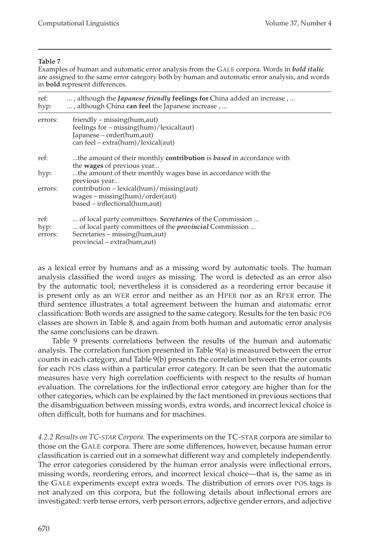Examples of human and automatic error analysis from the GALE corpora. Words in *bold italic* are assigned to the same error category both by human and automatic error analysis, and words in **bold** represent differences.

| ref:<br>hyp:            | , although the <i>Japanese friendly</i> feelings for China added an increase,<br>, although China can feel the Japanese increase,                                                           |
|-------------------------|---------------------------------------------------------------------------------------------------------------------------------------------------------------------------------------------|
| errors:                 | friendly – missing (hum, aut)<br>feelings for – missing(hum)/lexical(aut)<br>Japanese - order(hum,aut)<br>can feel – extra(hum)/lexical(aut)                                                |
| ref:                    | the amount of their monthly contribution is based in accordance with<br>the wages of previous year                                                                                          |
| hyp:                    | the amount of their monthly wages base in accordance with the<br>previous year                                                                                                              |
| errors:                 | $contribution - lexical(hum)/missing(aut)$<br>$wages - missing(hum)/order(aut)$<br>based – inflectional(hum,aut)                                                                            |
| ref:<br>hyp:<br>errors: | of local party committees. Secretaries of the Commission<br>of local party committees of the <i>provincial</i> Commission<br>Secretaries – missing(hum,aut)<br>provincial – extra(hum, aut) |

as a lexical error by humans and as a missing word by automatic tools. The human analysis classified the word *wages* as missing. The word is detected as an error also by the automatic tool; nevertheless it is considered as a reordering error because it is present only as an WER error and neither as an HPER nor as an RPER error. The third sentence illustrates a total agreement between the human and automatic error classification: Both words are assigned to the same category. Results for the ten basic POS classes are shown in Table 8, and again from both human and automatic error analysis the same conclusions can be drawn.

Table 9 presents correlations between the results of the human and automatic analysis. The correlation function presented in Table  $9(a)$  is measured between the error counts in each category, and Table 9(b) presents the correlation between the error counts for each POS class within a particular error category. It can be seen that the automatic measures have very high correlation coefficients with respect to the results of human evaluation. The correlations for the inflectional error category are higher than for the other categories, which can be explained by the fact mentioned in previous sections that the disambiguation between missing words, extra words, and incorrect lexical choice is often difficult, both for humans and for machines.

*4.2.2 Results on TC-STAR Corpora.* The experiments on the TC-STAR corpora are similar to those on the GALE corpora. There are some differences, however, because human error classification is carried out in a somewhat different way and completely independently. The error categories considered by the human error analysis were inflectional errors, missing words, reordering errors, and incorrect lexical choice—that is, the same as in the GALE experiments except extra words. The distribution of errors over POS tags is not analyzed on this corpora, but the following details about inflectional errors are investigated: verb tense errors, verb person errors, adjective gender errors, and adjective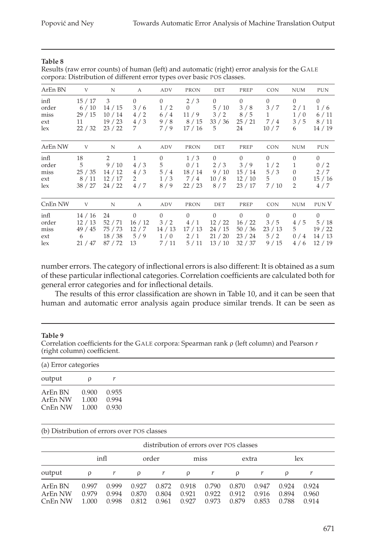corpora: Distribution of different error types over basic POS classes. ArEn BN V N A ADV PRON DET PREP CON NUM PUN infl 15/17 3 0 0 2/3 0 0 0 0 0 order 6/10 14/15 3/6 1/2 0 5/10 3/8 3/7 2/1 1/6 miss 29 / 15 10 / 14 4 / 2 6 / 4 11 / 9 3 / 2 8 / 5 1 1 / 0 6 / 11 ext 11 19 / 23 4 / 3 9 / 8 8 / 15 33 / 36 25 / 21 7 / 4 3 / 5 8 / 11

Results (raw error counts) of human (left) and automatic (right) error analysis for the GALE

| <b>ULUCI</b> | 0/10    | $1 + 11$       | <i>JI</i> U  | 1 / 2    | v        | U / 10   | <u>J/O</u> |              | 2/1            | 1 / U    |
|--------------|---------|----------------|--------------|----------|----------|----------|------------|--------------|----------------|----------|
| miss         | 29/15   | 10/14          | 4/2          | 6/4      | 11/9     | 3/2      | 8/5        | $\mathbf{1}$ | 1/0            | 6/11     |
| ext          | 11      | 19/23          | 4/3          | 9/8      | 8 / 15   | 33 / 36  | 25/21      | 7/4          | 3/5            | 8 / 11   |
| lex          | 22/32   | 23/22          | 7            | 7/9      | 17/16    | 5        | 24         | 10/7         | 6              | 14 / 19  |
| ArEn NW      | V       | N              | A            | ADV      | PRON     | DET      | PREP       | CON          | <b>NUM</b>     | PUN      |
| infl         | 18      | $\overline{2}$ | $\mathbf{1}$ | $\Omega$ | 1/3      | $\theta$ | $\Omega$   | $\mathbf{0}$ | $\theta$       | $\theta$ |
| order        | 5       | 9/10           | 4/3          | 5        | 0/1      | 2/3      | 3/9        | 1/2          | 1              | 0/2      |
| miss         | 25/35   | 14/12          | 4/3          | 5/4      | 18/14    | 9/10     | 15/14      | 5/3          | $\theta$       | 2/7      |
| ext          | 8/11    | 12/17          | $2^{\circ}$  | 1/3      | 7/4      | 10/8     | 12/10      | 5            | $\theta$       | 15/16    |
| lex          | 38 / 27 | 24/22          | 4/7          | 8/9      | 22/23    | 8/7      | 23/17      | 7/10         | $\overline{2}$ | 4/7      |
| CnEn NW      | V       | N              | A            | ADV      | PRON     | DET      | PREP       | CON          | <b>NUM</b>     | pun V    |
| infl         | 14/16   | 24             | $\theta$     | $\theta$ | $\Omega$ | $\Omega$ | $\Omega$   | $\Omega$     | $\Omega$       | $\Omega$ |
| order        | 12/13   | 52 / 71        | 16/12        | 3/2      | 4/1      | 12/22    | 16/22      | 3/5          | 4/5            | 5/18     |
| miss         | 49/45   | 75 / 73        | 12/7         | 14/13    | 17/13    | 24/15    | 50/36      | 23/13        | 5              | 19 / 22  |
| ext          | 6       | 18/38          | 5/9          | 1/0      | 2/1      | 21/20    | 23/24      | 5/2          | 0/4            | 14/13    |
| lex          | 21/47   | 87 / 72        | 13           | 7/11     | 5/11     | 13/10    | 32 / 37    | 9/15         | 4/6            | 12/19    |

number errors. The category of inflectional errors is also different: It is obtained as a sum of these particular inflectional categories. Correlation coefficients are calculated both for general error categories and for inflectional details.

The results of this error classification are shown in Table 10, and it can be seen that human and automatic error analysis again produce similar trends. It can be seen as

#### **Table 9**

Correlation coefficients for the GALE corpora: Spearman rank ρ (left column) and Pearson *r* (right column) coefficient.

| (a) Error categories |       |       |
|----------------------|-------|-------|
| output               | O     |       |
| ArEn BN              | 0.900 | 0.955 |
| ArEn NW              | 1.000 | 0.994 |
| CnEn NW              | 1.000 | 0.930 |

#### (b) Distribution of errors over POS classes

|                               |                         |                         |                         |                         | distribution of errors over POS classes |                         |                         |                         |                         |                         |
|-------------------------------|-------------------------|-------------------------|-------------------------|-------------------------|-----------------------------------------|-------------------------|-------------------------|-------------------------|-------------------------|-------------------------|
|                               |                         | infl                    | order                   |                         |                                         | miss                    | extra                   |                         |                         | lex                     |
| output                        |                         | r                       | ρ                       | r                       | ρ                                       |                         |                         |                         |                         |                         |
| ArEn BN<br>ArEn NW<br>CnEn NW | 0.997<br>0.979<br>1.000 | 0.999<br>0.994<br>0.998 | 0.927<br>0.870<br>0.812 | 0.872<br>0.804<br>0.961 | 0.918<br>0.921<br>0.927                 | 0.790<br>0.922<br>0.973 | 0.870<br>0.912<br>0.879 | 0.947<br>0.916<br>0.853 | 0.924<br>0.894<br>0.788 | 0.924<br>0.960<br>0.914 |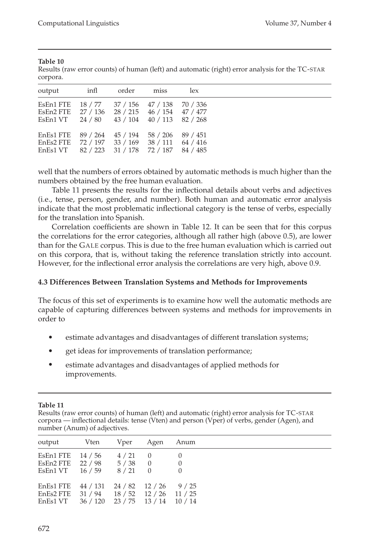Results (raw error counts) of human (left) and automatic (right) error analysis for the TC-STAR corpora.

| output                             | infl    | order                                                                         | miss     | lex                              |
|------------------------------------|---------|-------------------------------------------------------------------------------|----------|----------------------------------|
| EsEn1 FTE<br>EsEn2 FTE<br>EsEn1 VT | 18 / 77 | 37 / 156 47 / 138<br>27 / 136 28 / 215 46 / 154<br>24 / 80 43 / 104 40 / 113  |          | 70 / 336<br>47 / 477<br>82 / 268 |
| EnEs1 FTE<br>EnEs2 FTE<br>EnEs1 VT |         | 89 / 264 45 / 194 58 / 206<br>72 / 197 33 / 169 38 / 111<br>82 / 223 31 / 178 | 72 / 187 | 89 / 451<br>64 / 416<br>84 / 485 |

well that the numbers of errors obtained by automatic methods is much higher than the numbers obtained by the free human evaluation.

Table 11 presents the results for the inflectional details about verbs and adjectives (i.e., tense, person, gender, and number). Both human and automatic error analysis indicate that the most problematic inflectional category is the tense of verbs, especially for the translation into Spanish.

Correlation coefficients are shown in Table 12. It can be seen that for this corpus the correlations for the error categories, although all rather high (above 0.5), are lower than for the GALE corpus. This is due to the free human evaluation which is carried out on this corpora, that is, without taking the reference translation strictly into account. However, for the inflectional error analysis the correlations are very high, above 0.9.

#### **4.3 Differences Between Translation Systems and Methods for Improvements**

The focus of this set of experiments is to examine how well the automatic methods are capable of capturing differences between systems and methods for improvements in order to

- estimate advantages and disadvantages of different translation systems;
- $\bullet$ get ideas for improvements of translation performance;
- estimate advantages and disadvantages of applied methods for improvements.

#### **Table 11**

Results (raw error counts) of human (left) and automatic (right) error analysis for TC-STAR corpora — inflectional details: tense (Vten) and person (Vper) of verbs, gender (Agen), and number (Anum) of adjectives.

| output    | Vten     | Vper    | Agen     | Anum     |
|-----------|----------|---------|----------|----------|
| EsEn1 FTE | 14/56    | 4/21    | $\theta$ | $\theta$ |
| EsEn2 FTE | 22/98    | 5/38    | $\theta$ | 0        |
| EsEn1 VT  | 16/59    | 8/21    | $\Omega$ | $\Omega$ |
| EnEs1 FTE | 44 / 131 | 24 / 82 | 12/26    | 9/25     |
| EnEs2 FTE | 31/94    | 18 / 52 | 12/26    | 11/25    |
| EnEs1 VT  | 36 / 120 | 23/75   | 13/14    | 10/14    |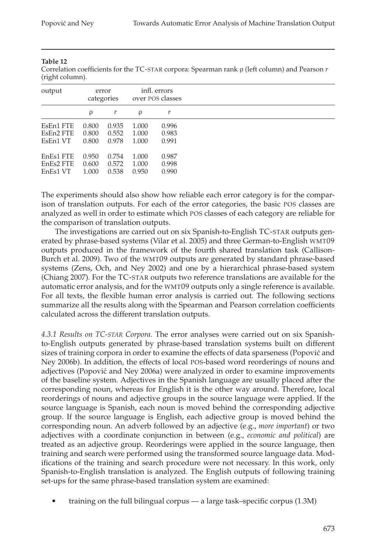| output                             |                         | error<br>categories     |                         | infl. errors<br>over POS classes |
|------------------------------------|-------------------------|-------------------------|-------------------------|----------------------------------|
|                                    | ρ                       | r                       | ρ                       | r                                |
| EsEn1 FTE<br>EsEn2 FTE<br>EsEn1 VT | 0.800<br>0.800<br>0.800 | 0.935<br>0.552<br>0.978 | 1.000<br>1.000<br>1.000 | 0.996<br>0.983<br>0.991          |
| EnEs1 FTE<br>EnEs2 FTE<br>EnEs1 VT | 0.950<br>0.600<br>1.000 | 0.754<br>0.572<br>0.538 | 1.000<br>1.000<br>0.950 | 0.987<br>0.998<br>0.990          |

Correlation coefficients for the TC-STAR corpora: Spearman rank ρ (left column) and Pearson *r* (right column).

The experiments should also show how reliable each error category is for the comparison of translation outputs. For each of the error categories, the basic POS classes are analyzed as well in order to estimate which POS classes of each category are reliable for the comparison of translation outputs.

The investigations are carried out on six Spanish-to-English TC-STAR outputs generated by phrase-based systems (Vilar et al. 2005) and three German-to-English WMT09 outputs produced in the framework of the fourth shared translation task (Callison-Burch et al. 2009). Two of the WMT09 outputs are generated by standard phrase-based systems (Zens, Och, and Ney 2002) and one by a hierarchical phrase-based system (Chiang 2007). For the TC-STAR outputs two reference translations are available for the automatic error analysis, and for the WMT09 outputs only a single reference is available. For all texts, the flexible human error analysis is carried out. The following sections summarize all the results along with the Spearman and Pearson correlation coefficients calculated across the different translation outputs.

*4.3.1 Results on TC-STAR Corpora.* The error analyses were carried out on six Spanishto-English outputs generated by phrase-based translation systems built on different sizes of training corpora in order to examine the effects of data sparseness (Popovic and ´ Ney 2006b). In addition, the effects of local POS-based word reorderings of nouns and adjectives (Popović and Ney 2006a) were analyzed in order to examine improvements of the baseline system. Adjectives in the Spanish language are usually placed after the corresponding noun, whereas for English it is the other way around. Therefore, local reorderings of nouns and adjective groups in the source language were applied. If the source language is Spanish, each noun is moved behind the corresponding adjective group. If the source language is English, each adjective group is moved behind the corresponding noun. An adverb followed by an adjective (e.g., *more important*) or two adjectives with a coordinate conjunction in between (e.g., *economic and political*) are treated as an adjective group. Reorderings were applied in the source language, then training and search were performed using the transformed source language data. Modifications of the training and search procedure were not necessary. In this work, only Spanish-to-English translation is analyzed. The English outputs of following training set-ups for the same phrase-based translation system are examined:

training on the full bilingual corpus — a large task–specific corpus (1.3M)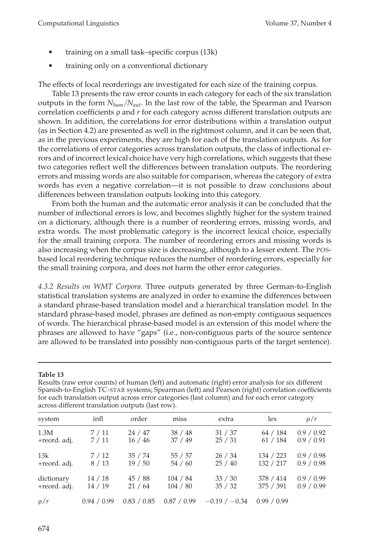- training on a small task–specific corpus (13k)
- $\bullet$ training only on a conventional dictionary

The effects of local reorderings are investigated for each size of the training corpus.

Table 13 presents the raw error counts in each category for each of the six translation outputs in the form *Nhum*/*Naut*. In the last row of the table, the Spearman and Pearson correlation coefficients ρ and *r* for each category across different translation outputs are shown. In addition, the correlations for error distributions within a translation output (as in Section 4.2) are presented as well in the rightmost column, and it can be seen that, as in the previous experiments, they are high for each of the translation outputs. As for the correlations of error categories across translation outputs, the class of inflectional errors and of incorrect lexical choice have very high correlations, which suggests that these two categories reflect well the differences between translation outputs. The reordering errors and missing words are also suitable for comparison, whereas the category of extra words has even a negative correlation—it is not possible to draw conclusions about differences between translation outputs looking into this category.

From both the human and the automatic error analysis it can be concluded that the number of inflectional errors is low, and becomes slightly higher for the system trained on a dictionary, although there is a number of reordering errors, missing words, and extra words. The most problematic category is the incorrect lexical choice, especially for the small training corpora. The number of reordering errors and missing words is also increasing when the corpus size is decreasing, although to a lesser extent. The POSbased local reordering technique reduces the number of reordering errors, especially for the small training corpora, and does not harm the other error categories.

*4.3.2 Results on WMT Corpora.* Three outputs generated by three German-to-English statistical translation systems are analyzed in order to examine the differences between a standard phrase-based translation model and a hierarchical translation model. In the standard phrase-based model, phrases are defined as non-empty contiguous sequences of words. The hierarchical phrase-based model is an extension of this model where the phrases are allowed to have "gaps" (i.e., non-contiguous parts of the source sentence are allowed to be translated into possibly non-contiguous parts of the target sentence).

|              |             | across different translation outputs (last row). |             |                 |             |            |
|--------------|-------------|--------------------------------------------------|-------------|-----------------|-------------|------------|
| system       | infl        | order                                            | miss        | extra           | lex         | $\rho/r$   |
| 1.3M         | 7/11        | 24 / 47                                          | 38 / 48     | 31 / 37         | 64 / 184    | 0.9 / 0.92 |
| +reord. adj. | 7/11        | 16/46                                            | 37/49       | 25/31           | 61 / 184    | 0.9 / 0.91 |
| 13k          | 7/12        | 35/74                                            | 55/57       | 26/34           | 134 / 223   | 0.9 / 0.98 |
| +reord. adj. | 8/13        | 19/50                                            | 54/60       | 25/40           | 132 / 217   | 0.9 / 0.98 |
| dictionary   | 14/18       | 45/88                                            | 104 / 84    | 33 / 30         | 378 / 414   | 0.9 / 0.99 |
| +reord. adj. | 14/19       | 21/64                                            | 104 / 80    | 35/32           | 375 / 391   | 0.9 / 0.99 |
| $\rho/r$     | 0.94 / 0.99 | 0.83 / 0.85                                      | 0.87 / 0.99 | $-0.19 / -0.34$ | 0.99 / 0.99 |            |

**Table 13**

Results (raw error counts) of human (left) and automatic (right) error analysis for six different Spanish-to-English TC-STAR systems; Spearman (left) and Pearson (right) correlation coefficients for each translation output across error categories (last column) and for each error category across different translation outputs (last row).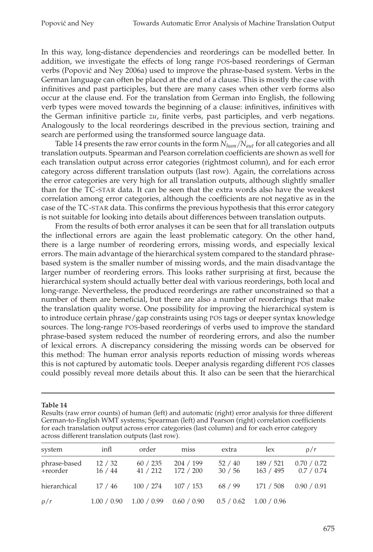In this way, long-distance dependencies and reorderings can be modelled better. In addition, we investigate the effects of long range POS-based reorderings of German verbs (Popovic and Ney 2006a) used to improve the phrase-based system. Verbs in the ´ German language can often be placed at the end of a clause. This is mostly the case with infinitives and past participles, but there are many cases when other verb forms also occur at the clause end. For the translation from German into English, the following verb types were moved towards the beginning of a clause: infinitives, infinitives with the German infinitive particle *zu*, finite verbs, past participles, and verb negations. Analogously to the local reorderings described in the previous section, training and search are performed using the transformed source language data.

Table 14 presents the raw error counts in the form  $N_{hum}/N_{aut}$  for all categories and all translation outputs. Spearman and Pearson correlation coefficients are shown as well for each translation output across error categories (rightmost column), and for each error category across different translation outputs (last row). Again, the correlations across the error categories are very high for all translation outputs, although slightly smaller than for the TC-STAR data. It can be seen that the extra words also have the weakest correlation among error categories, although the coefficients are not negative as in the case of the TC-STAR data. This confirms the previous hypothesis that this error category is not suitable for looking into details about differences between translation outputs.

From the results of both error analyses it can be seen that for all translation outputs the inflectional errors are again the least problematic category. On the other hand, there is a large number of reordering errors, missing words, and especially lexical errors. The main advantage of the hierarchical system compared to the standard phrasebased system is the smaller number of missing words, and the main disadvantage the larger number of reordering errors. This looks rather surprising at first, because the hierarchical system should actually better deal with various reorderings, both local and long-range. Nevertheless, the produced reorderings are rather unconstrained so that a number of them are beneficial, but there are also a number of reorderings that make the translation quality worse. One possibility for improving the hierarchical system is to introduce certain phrase/gap constraints using POS tags or deeper syntax knowledge sources. The long-range POS-based reorderings of verbs used to improve the standard phrase-based system reduced the number of reordering errors, and also the number of lexical errors. A discrepancy considering the missing words can be observed for this method: The human error analysis reports reduction of missing words whereas this is not captured by automatic tools. Deeper analysis regarding different POS classes could possibly reveal more details about this. It also can be seen that the hierarchical

#### **Table 14**

Results (raw error counts) of human (left) and automatic (right) error analysis for three different German-to-English WMT systems; Spearman (left) and Pearson (right) correlation coefficients for each translation output across error categories (last column) and for each error category across different translation outputs (last row).

| system                   | infl           | order                | miss                   | extra          | lex                  | $\rho/r$                  |
|--------------------------|----------------|----------------------|------------------------|----------------|----------------------|---------------------------|
| phrase-based<br>+reorder | 12/32<br>16/44 | 60 / 235<br>41 / 212 | 204 / 199<br>172 / 200 | 52/40<br>30/56 | 189/521<br>163 / 495 | 0.70 / 0.72<br>0.7 / 0.74 |
| hierarchical             | 17/46          | 100 / 274            | 107/153                | 68 / 99        | 171 / 508            | 0.90 / 0.91               |
| $\rho/r$                 | 1.00 / 0.90    | 1.00 / 0.99          | 0.60 / 0.90            | 0.5 / 0.62     | 1.00 / 0.96          |                           |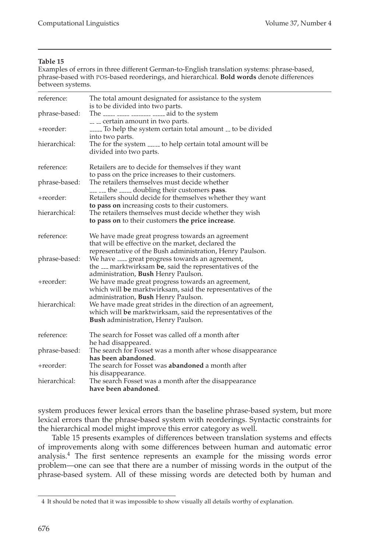Examples of errors in three different German-to-English translation systems: phrase-based, phrase-based with POS-based reorderings, and hierarchical. **Bold words** denote differences between systems.

| reference:    | The total amount designated for assistance to the system<br>is to be divided into two parts.                                                                                                                            |
|---------------|-------------------------------------------------------------------------------------------------------------------------------------------------------------------------------------------------------------------------|
| phrase-based: | The _____ _____ _______ _____ aid to the system                                                                                                                                                                         |
| +reorder:     | <sub>--</sub> <sub>--</sub> certain amount in two parts.<br>----- To help the system certain total amount -- to be divided<br>into two parts.                                                                           |
| hierarchical: | The for the system _____ to help certain total amount will be<br>divided into two parts.                                                                                                                                |
| reference:    | Retailers are to decide for themselves if they want<br>to pass on the price increases to their customers.                                                                                                               |
| phrase-based: | The retailers themselves must decide whether<br><sub>111</sub> <sub>111</sub> the <sub>1111</sub> doubling their customers <b>pass</b> .                                                                                |
| +reorder:     | Retailers should decide for themselves whether they want<br>to pass on increasing costs to their customers.                                                                                                             |
| hierarchical: | The retailers themselves must decide whether they wish<br>to pass on to their customers the price increase.                                                                                                             |
| reference:    | We have made great progress towards an agreement<br>that will be effective on the market, declared the                                                                                                                  |
| phrase-based: | representative of the Bush administration, Henry Paulson.<br>We have ____ great progress towards an agreement,<br>the ___ marktwirksam be, said the representatives of the                                              |
| +reorder:     | administration, Bush Henry Paulson.<br>We have made great progress towards an agreement,<br>which will be marktwirksam, said the representatives of the                                                                 |
| hierarchical: | administration, <b>Bush</b> Henry Paulson.<br>We have made great strides in the direction of an agreement,<br>which will be marktwirksam, said the representatives of the<br><b>Bush</b> administration, Henry Paulson. |
| reference:    | The search for Fosset was called off a month after<br>he had disappeared.                                                                                                                                               |
| phrase-based: | The search for Fosset was a month after whose disappearance<br>has been abandoned.                                                                                                                                      |
| +reorder:     | The search for Fosset was <b>abandoned</b> a month after<br>his disappearance.                                                                                                                                          |
| hierarchical: | The search Fosset was a month after the disappearance<br>have been abandoned.                                                                                                                                           |

system produces fewer lexical errors than the baseline phrase-based system, but more lexical errors than the phrase-based system with reorderings. Syntactic constraints for the hierarchical model might improve this error category as well.

Table 15 presents examples of differences between translation systems and effects of improvements along with some differences between human and automatic error analysis.<sup>4</sup> The first sentence represents an example for the missing words error problem—one can see that there are a number of missing words in the output of the phrase-based system. All of these missing words are detected both by human and

<sup>4</sup> It should be noted that it was impossible to show visually all details worthy of explanation.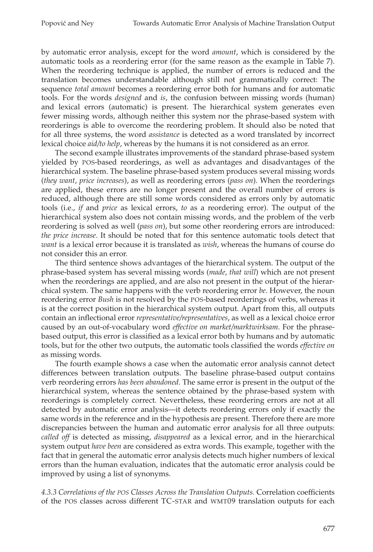by automatic error analysis, except for the word *amount*, which is considered by the automatic tools as a reordering error (for the same reason as the example in Table 7). When the reordering technique is applied, the number of errors is reduced and the translation becomes understandable although still not grammatically correct: The sequence *total amount* becomes a reordering error both for humans and for automatic tools. For the words *designed* and *is*, the confusion between missing words (human) and lexical errors (automatic) is present. The hierarchical system generates even fewer missing words, although neither this system nor the phrase-based system with reorderings is able to overcome the reordering problem. It should also be noted that for all three systems, the word *assistance* is detected as a word translated by incorrect lexical choice *aid/to help*, whereas by the humans it is not considered as an error.

The second example illustrates improvements of the standard phrase-based system yielded by POS-based reorderings, as well as advantages and disadvantages of the hierarchical system. The baseline phrase-based system produces several missing words (*they want*, *price increases*), as well as reordering errors (*pass on*). When the reorderings are applied, these errors are no longer present and the overall number of errors is reduced, although there are still some words considered as errors only by automatic tools (i.e., *if* and *price* as lexical errors, *to* as a reordering error). The output of the hierarchical system also does not contain missing words, and the problem of the verb reordering is solved as well (*pass on*), but some other reordering errors are introduced: *the price increase*. It should be noted that for this sentence automatic tools detect that *want* is a lexical error because it is translated as *wish*, whereas the humans of course do not consider this an error.

The third sentence shows advantages of the hierarchical system. The output of the phrase-based system has several missing words (*made*, *that will*) which are not present when the reorderings are applied, and are also not present in the output of the hierarchical system. The same happens with the verb reordering error *be*. However, the noun reordering error *Bush* is not resolved by the POS-based reorderings of verbs, whereas it is at the correct position in the hierarchical system output. Apart from this, all outputs contain an inflectional error *representative/representatives*, as well as a lexical choice error caused by an out-of-vocabulary word *effective on market/marktwirksam*. For the phrasebased output, this error is classified as a lexical error both by humans and by automatic tools, but for the other two outputs, the automatic tools classified the words *effective on* as missing words.

The fourth example shows a case when the automatic error analysis cannot detect differences between translation outputs. The baseline phrase-based output contains verb reordering errors *has been abandoned*. The same error is present in the output of the hierarchical system, whereas the sentence obtained by the phrase-based system with reorderings is completely correct. Nevertheless, these reordering errors are not at all detected by automatic error analysis—it detects reordering errors only if exactly the same words in the reference and in the hypothesis are present. Therefore there are more discrepancies between the human and automatic error analysis for all three outputs: *called off* is detected as missing, *disappeared* as a lexical error, and in the hierarchical system output *have been* are considered as extra words. This example, together with the fact that in general the automatic error analysis detects much higher numbers of lexical errors than the human evaluation, indicates that the automatic error analysis could be improved by using a list of synonyms.

*4.3.3 Correlations of the POS Classes Across the Translation Outputs.* Correlation coefficients of the POS classes across different TC-STAR and WMT09 translation outputs for each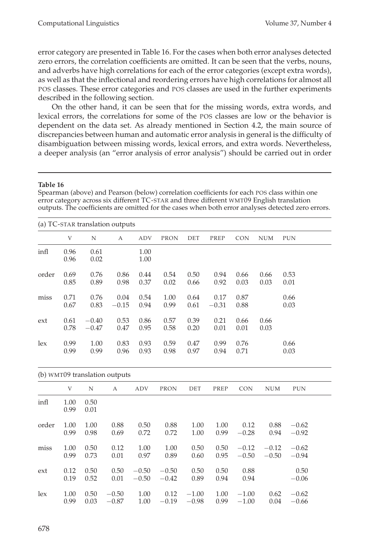error category are presented in Table 16. For the cases when both error analyses detected zero errors, the correlation coefficients are omitted. It can be seen that the verbs, nouns, and adverbs have high correlations for each of the error categories (except extra words), as well as that the inflectional and reordering errors have high correlations for almost all POS classes. These error categories and POS classes are used in the further experiments described in the following section.

On the other hand, it can be seen that for the missing words, extra words, and lexical errors, the correlations for some of the POS classes are low or the behavior is dependent on the data set. As already mentioned in Section 4.2, the main source of discrepancies between human and automatic error analysis in general is the difficulty of disambiguation between missing words, lexical errors, and extra words. Nevertheless, a deeper analysis (an "error analysis of error analysis") should be carried out in order

#### **Table 16**

Spearman (above) and Pearson (below) correlation coefficients for each POS class within one error category across six different TC-STAR and three different WMT09 English translation outputs. The coefficients are omitted for the cases when both error analyses detected zero errors.

|       |              |                    | (a) TC-STAR translation outputs |              |              |              |                 |              |              |              |
|-------|--------------|--------------------|---------------------------------|--------------|--------------|--------------|-----------------|--------------|--------------|--------------|
|       | V            | N                  | А                               | ADV          | <b>PRON</b>  | DET          | PREP            | CON          | <b>NUM</b>   | PUN          |
| infl  | 0.96<br>0.96 | 0.61<br>0.02       |                                 | 1.00<br>1.00 |              |              |                 |              |              |              |
| order | 0.69<br>0.85 | 0.76<br>0.89       | 0.86<br>0.98                    | 0.44<br>0.37 | 0.54<br>0.02 | 0.50<br>0.66 | 0.94<br>0.92    | 0.66<br>0.03 | 0.66<br>0.03 | 0.53<br>0.01 |
| miss  | 0.71<br>0.67 | 0.76<br>0.83       | 0.04<br>$-0.15$                 | 0.54<br>0.94 | 1.00<br>0.99 | 0.64<br>0.61 | 0.17<br>$-0.31$ | 0.87<br>0.88 |              | 0.66<br>0.03 |
| ext   | 0.61<br>0.78 | $-0.40$<br>$-0.47$ | 0.53<br>0.47                    | 0.86<br>0.95 | 0.57<br>0.58 | 0.39<br>0.20 | 0.21<br>0.01    | 0.66<br>0.01 | 0.66<br>0.03 |              |
| lex   | 0.99<br>0.99 | 1.00<br>0.99       | 0.83<br>0.96                    | 0.93<br>0.93 | 0.59<br>0.98 | 0.47<br>0.97 | 0.99<br>0.94    | 0.76<br>0.71 |              | 0.66<br>0.03 |

|       |              |              | (b) WMT09 translation outputs |                    |                    |                    |              |                    |                    |                    |  |
|-------|--------------|--------------|-------------------------------|--------------------|--------------------|--------------------|--------------|--------------------|--------------------|--------------------|--|
|       | V            | N            | A                             | ADV                | PRON               | <b>DET</b>         | PREP         | <b>CON</b>         | <b>NUM</b>         | <b>PUN</b>         |  |
| infl  | 1.00<br>0.99 | 0.50<br>0.01 |                               |                    |                    |                    |              |                    |                    |                    |  |
| order | 1.00<br>0.99 | 1.00<br>0.98 | 0.88<br>0.69                  | 0.50<br>0.72       | 0.88<br>0.72       | 1.00<br>1.00       | 1.00<br>0.99 | 0.12<br>$-0.28$    | 0.88<br>0.94       | $-0.62$<br>$-0.92$ |  |
| miss  | 1.00<br>0.99 | 0.50<br>0.73 | 0.12<br>0.01                  | 1.00<br>0.97       | 1.00<br>0.89       | 0.50<br>0.60       | 0.50<br>0.95 | $-0.12$<br>$-0.50$ | $-0.12$<br>$-0.50$ | $-0.62$<br>$-0.94$ |  |
| ext   | 0.12<br>0.19 | 0.50<br>0.52 | 0.50<br>0.01                  | $-0.50$<br>$-0.50$ | $-0.50$<br>$-0.42$ | 0.50<br>0.89       | 0.50<br>0.94 | 0.88<br>0.94       |                    | 0.50<br>$-0.06$    |  |
| lex   | 1.00<br>0.99 | 0.50<br>0.03 | $-0.50$<br>$-0.87$            | 1.00<br>1.00       | 0.12<br>$-0.19$    | $-1.00$<br>$-0.98$ | 1.00<br>0.99 | $-1.00$<br>$-1.00$ | 0.62<br>0.04       | $-0.62$<br>$-0.66$ |  |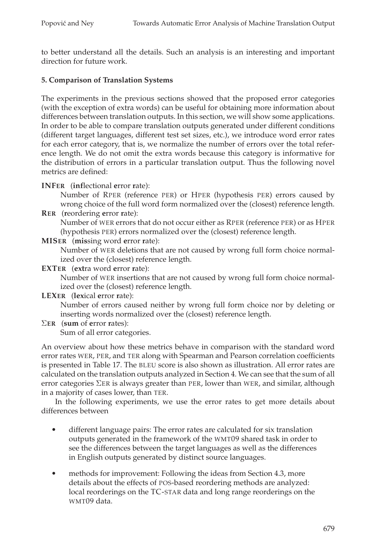to better understand all the details. Such an analysis is an interesting and important direction for future work.

### **5. Comparison of Translation Systems**

The experiments in the previous sections showed that the proposed error categories (with the exception of extra words) can be useful for obtaining more information about differences between translation outputs. In this section, we will show some applications. In order to be able to compare translation outputs generated under different conditions (different target languages, different test set sizes, etc.), we introduce word error rates for each error category, that is, we normalize the number of errors over the total reference length. We do not omit the extra words because this category is informative for the distribution of errors in a particular translation output. Thus the following novel metrics are defined:

**INFER** (**inf**lectional **e**rror **r**ate):

Number of RPER (reference PER) or HPER (hypothesis PER) errors caused by wrong choice of the full word form normalized over the (closest) reference length. **RER** (**r**eordering **e**rror **r**ate):

Number of WER errors that do not occur either as RPER (reference PER) or as HPER (hypothesis PER) errors normalized over the (closest) reference length.

**MISER** (**mis**sing word **e**rror **r**ate):

Number of WER deletions that are not caused by wrong full form choice normalized over the (closest) reference length.

**EXTER** (**ext**ra word **e**rror **r**ate):

Number of WER insertions that are not caused by wrong full form choice normalized over the (closest) reference length.

**LEXER** (**lex**ical **e**rror **r**ate):

Number of errors caused neither by wrong full form choice nor by deleting or inserting words normalized over the (closest) reference length.

Σ**ER** (**sum** of **e**rror **r**ates): Sum of all error categories.

An overview about how these metrics behave in comparison with the standard word error rates WER, PER, and TER along with Spearman and Pearson correlation coefficients is presented in Table 17. The BLEU score is also shown as illustration. All error rates are calculated on the translation outputs analyzed in Section 4. We can see that the sum of all error categories ΣER is always greater than PER, lower than WER, and similar, although in a majority of cases lower, than TER.

In the following experiments, we use the error rates to get more details about differences between

- $\bullet$  different language pairs: The error rates are calculated for six translation outputs generated in the framework of the WMT09 shared task in order to see the differences between the target languages as well as the differences in English outputs generated by distinct source languages.
- $\bullet$  methods for improvement: Following the ideas from Section 4.3, more details about the effects of POS-based reordering methods are analyzed: local reorderings on the TC-STAR data and long range reorderings on the WMT09 data.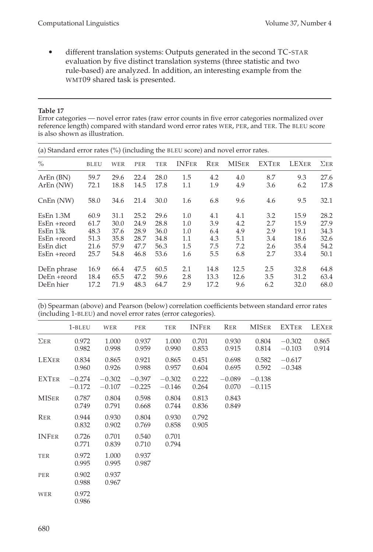$\bullet$  different translation systems: Outputs generated in the second TC-STAR evaluation by five distinct translation systems (three statistic and two rule-based) are analyzed. In addition, an interesting example from the WMT09 shared task is presented.

#### **Table 17**

Error categories — novel error rates (raw error counts in five error categories normalized over reference length) compared with standard word error rates WER, PER, and TER. The BLEU score is also shown as illustration.

| <b>BLEU</b>  | WER          | PER          | TER          | <b>INFER</b> | <b>RER</b>   | <b>MISER</b> | <b>EXTER</b> | <b>LEXER</b>                                                                                     | $\Sigma$ ER          |
|--------------|--------------|--------------|--------------|--------------|--------------|--------------|--------------|--------------------------------------------------------------------------------------------------|----------------------|
| 59.7         | 29.6         | 22.4         | 28.0         | 1.5          | 4.2          | 4.0          | 8.7          | 9.3                                                                                              | 27.6                 |
| 72.1         | 18.8         | 14.5         | 17.8         | 1.1          | 1.9          | 4.9          | 3.6          | 6.2                                                                                              | 17.8                 |
| 58.0         | 34.6         | 21.4         | 30.0         | 1.6          | 6.8          | 9.6          | 4.6          | 9.5                                                                                              | 32.1                 |
| 60.9         | 31.1         | 25.2         | 29.6         | 1.0          | 4.1          | 4.1          | 3.2          | 15.9                                                                                             | 28.2                 |
| 61.7         | 30.0         | 24.9         | 28.8         | 1.0          | 3.9          | 4.2          | 2.7          | 15.9                                                                                             | 27.9                 |
| 48.3         | 37.6         | 28.9         | 36.0         | 1.0          | 6.4          | 4.9          | 2.9          | 19.1                                                                                             | 34.3                 |
| 51.3         | 35.8         | 28.7         | 34.8         | 1.1          | 4.3          | 5.1          | 3.4          | 18.6                                                                                             | 32.6                 |
| 21.6         | 57.9         | 47.7         | 56.3         | 1.5          | 7.5          | 7.2          | 2.6          | 35.4                                                                                             | 54.2                 |
| 25.7         | 54.8         | 46.8         | 53.6         | 1.6          | 5.5          | 6.8          | 2.7          | 33.4                                                                                             | 50.1                 |
| 16.9<br>18.4 | 66.4<br>65.5 | 47.5<br>47.2 | 60.5<br>59.6 | 2.1<br>2.8   | 14.8<br>13.3 | 12.5<br>12.6 | 2.5<br>3.5   | 32.8<br>31.2                                                                                     | 64.8<br>63.4<br>68.0 |
|              | 17.2         | 71.9         | 48.3         | 64.7         | 2.9          | 17.2         | 9.6          | (a) Standard error rates $\binom{9}{0}$ (including the BLEU score) and novel error rates.<br>6.2 | 32.0                 |

(b) Spearman (above) and Pearson (below) correlation coefficients between standard error rates (including 1-BLEU) and novel error rates (error categories).

|              | 1-BLEU               | WER                  | PER                  | TER                  | <b>INFER</b>   | RER               | <b>MISER</b>         | <b>EXTER</b>         | <b>LEXER</b>   |
|--------------|----------------------|----------------------|----------------------|----------------------|----------------|-------------------|----------------------|----------------------|----------------|
| $\Sigma$ er  | 0.972<br>0.982       | 1.000<br>0.998       | 0.937<br>0.959       | 1.000<br>0.990       | 0.701<br>0.853 | 0.930<br>0.915    | 0.804<br>0.814       | $-0.302$<br>$-0.103$ | 0.865<br>0.914 |
| LEXER        | 0.834<br>0.960       | 0.865<br>0.926       | 0.921<br>0.988       | 0.865<br>0.957       | 0.451<br>0.604 | 0.698<br>0.695    | 0.582<br>0.592       | $-0.617$<br>$-0.348$ |                |
| <b>EXTER</b> | $-0.274$<br>$-0.172$ | $-0.302$<br>$-0.107$ | $-0.397$<br>$-0.225$ | $-0.302$<br>$-0.146$ | 0.222<br>0.264 | $-0.089$<br>0.070 | $-0.138$<br>$-0.115$ |                      |                |
| <b>MISER</b> | 0.787<br>0.749       | 0.804<br>0.791       | 0.598<br>0.668       | 0.804<br>0.744       | 0.813<br>0.836 | 0.843<br>0.849    |                      |                      |                |
| RER          | 0.944<br>0.832       | 0.930<br>0.902       | 0.804<br>0.769       | 0.930<br>0.858       | 0.792<br>0.905 |                   |                      |                      |                |
| <b>INFER</b> | 0.726<br>0.771       | 0.701<br>0.839       | 0.540<br>0.710       | 0.701<br>0.794       |                |                   |                      |                      |                |
| TER          | 0.972<br>0.995       | 1.000<br>0.995       | 0.937<br>0.987       |                      |                |                   |                      |                      |                |
| PER          | 0.902<br>0.988       | 0.937<br>0.967       |                      |                      |                |                   |                      |                      |                |
| WER          | 0.972<br>0.986       |                      |                      |                      |                |                   |                      |                      |                |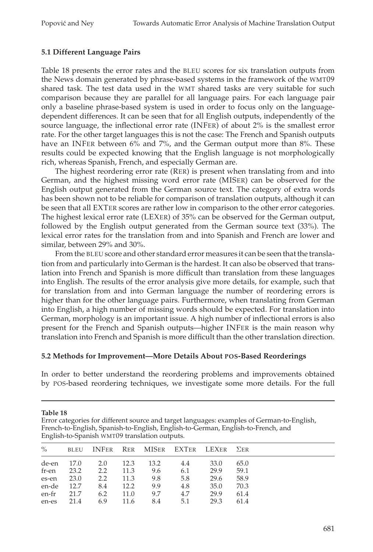# **5.1 Different Language Pairs**

Table 18 presents the error rates and the BLEU scores for six translation outputs from the News domain generated by phrase-based systems in the framework of the WMT09 shared task. The test data used in the WMT shared tasks are very suitable for such comparison because they are parallel for all language pairs. For each language pair only a baseline phrase-based system is used in order to focus only on the languagedependent differences. It can be seen that for all English outputs, independently of the source language, the inflectional error rate (INFER) of about 2% is the smallest error rate. For the other target languages this is not the case: The French and Spanish outputs have an INFER between 6% and 7%, and the German output more than 8%. These results could be expected knowing that the English language is not morphologically rich, whereas Spanish, French, and especially German are.

The highest reordering error rate (RER) is present when translating from and into German, and the highest missing word error rate (MISER) can be observed for the English output generated from the German source text. The category of extra words has been shown not to be reliable for comparison of translation outputs, although it can be seen that all EXTER scores are rather low in comparison to the other error categories. The highest lexical error rate (LEXER) of 35% can be observed for the German output, followed by the English output generated from the German source text (33%). The lexical error rates for the translation from and into Spanish and French are lower and similar, between 29% and 30%.

From the BLEU score and other standard error measures it can be seen that the translation from and particularly into German is the hardest. It can also be observed that translation into French and Spanish is more difficult than translation from these languages into English. The results of the error analysis give more details, for example, such that for translation from and into German language the number of reordering errors is higher than for the other language pairs. Furthermore, when translating from German into English, a high number of missing words should be expected. For translation into German, morphology is an important issue. A high number of inflectional errors is also present for the French and Spanish outputs—higher INFER is the main reason why translation into French and Spanish is more difficult than the other translation direction.

### **5.2 Methods for Improvement—More Details About POS-Based Reorderings**

In order to better understand the reordering problems and improvements obtained by POS-based reordering techniques, we investigate some more details. For the full

**Table 18** Error categories for different source and target languages: examples of German-to-English, French-to-English, Spanish-to-English, English-to-German, English-to-French, and English-to-Spanish WMT09 translation outputs.

| $\%$ |                     |                              |                             | BLEU INFER RER MISER EXTER LEXER $\Sigma$ er |      |
|------|---------------------|------------------------------|-----------------------------|----------------------------------------------|------|
|      |                     | de-en 17.0 2.0 12.3 13.2 4.4 |                             | 33.0                                         | 65.0 |
|      |                     |                              | fr-en 23.2 2.2 11.3 9.6 6.1 | 29.9 59.1                                    |      |
|      |                     | es-en 23.0 2.2 11.3 9.8 5.8  |                             | 29.6                                         | 58.9 |
|      | en-de 12.7 8.4 12.2 | 9.9                          | 4.8                         | 35.0 70.3                                    |      |
|      |                     |                              | en-fr 21.7 6.2 11.0 9.7 4.7 | 29.9                                         | 61.4 |
|      | en-es 21.4 6.9 11.6 |                              | 8.4 5.1                     | 29.3 61.4                                    |      |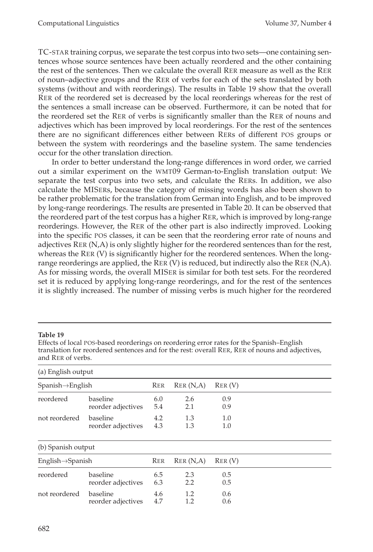TC-STAR training corpus, we separate the test corpus into two sets—one containing sentences whose source sentences have been actually reordered and the other containing the rest of the sentences. Then we calculate the overall RER measure as well as the RER of noun–adjective groups and the RER of verbs for each of the sets translated by both systems (without and with reorderings). The results in Table 19 show that the overall RER of the reordered set is decreased by the local reorderings whereas for the rest of the sentences a small increase can be observed. Furthermore, it can be noted that for the reordered set the RER of verbs is significantly smaller than the RER of nouns and adjectives which has been improved by local reorderings. For the rest of the sentences there are no significant differences either between RERs of different POS groups or between the system with reorderings and the baseline system. The same tendencies occur for the other translation direction.

In order to better understand the long-range differences in word order, we carried out a similar experiment on the WMT09 German-to-English translation output: We separate the test corpus into two sets, and calculate the RERs. In addition, we also calculate the MISERs, because the category of missing words has also been shown to be rather problematic for the translation from German into English, and to be improved by long-range reorderings. The results are presented in Table 20. It can be observed that the reordered part of the test corpus has a higher RER, which is improved by long-range reorderings. However, the RER of the other part is also indirectly improved. Looking into the specific POS classes, it can be seen that the reordering error rate of nouns and adjectives RER (N,A) is only slightly higher for the reordered sentences than for the rest, whereas the RER (V) is significantly higher for the reordered sentences. When the longrange reorderings are applied, the RER (V) is reduced, but indirectly also the RER (N,A). As for missing words, the overall MISER is similar for both test sets. For the reordered set it is reduced by applying long-range reorderings, and for the rest of the sentences it is slightly increased. The number of missing verbs is much higher for the reordered

#### **Table 19**

Effects of local POS-based reorderings on reordering error rates for the Spanish–English translation for reordered sentences and for the rest: overall RER, RER of nouns and adjectives, and RER of verbs.

| (a) English output                              |            |            |            |            |  |
|-------------------------------------------------|------------|------------|------------|------------|--|
| $Spanish \rightarrow English$                   |            | RER        | RER(N,A)   | $RER$ (V)  |  |
| reordered<br>baseline<br>reorder adjectives     |            | 6.0<br>5.4 | 2.6<br>2.1 | 0.9<br>0.9 |  |
| not reordered                                   | 4.2<br>4.3 | 1.3<br>1.3 | 1.0<br>1.0 |            |  |
| (b) Spanish output                              |            |            |            |            |  |
| English $\rightarrow$ Spanish                   |            | <b>RER</b> | RER(N,A)   | RER(V)     |  |
| reordered<br>baseline<br>reorder adjectives     |            | 6.5<br>6.3 | 2.3<br>2.2 | 0.5<br>0.5 |  |
| not reordered<br>baseline<br>reorder adjectives |            | 4.6<br>4.7 | 1.2<br>1.2 | 0.6<br>0.6 |  |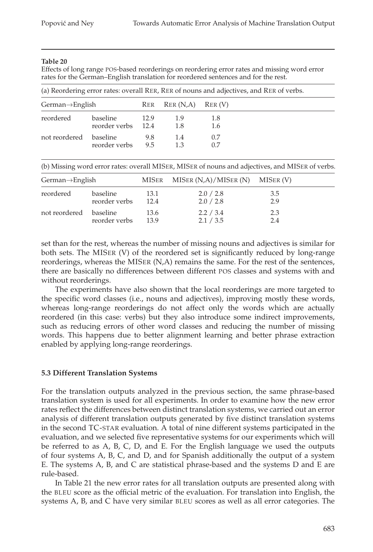Effects of long range POS-based reorderings on reordering error rates and missing word error rates for the German–English translation for reordered sentences and for the rest.

| (a) Reordering error rates: overall RER, RER of nouns and adjectives, and RER of verbs. |                                |            |                       |            |  |  |  |  |  |
|-----------------------------------------------------------------------------------------|--------------------------------|------------|-----------------------|------------|--|--|--|--|--|
| $German \rightarrow English$                                                            |                                |            | RER $RER(N,A)$ RER(V) |            |  |  |  |  |  |
| reordered                                                                               | baseline<br>reorder verbs 12.4 | 12.9       | 1.9<br>1.8            | 1.8<br>1.6 |  |  |  |  |  |
| not reordered                                                                           | baseline<br>reorder verbs      | 9.8<br>9.5 | 1.4<br>1.3            | 0.7<br>0.7 |  |  |  |  |  |

| (b) Missing word error rates: overall MISER, MISER of nouns and adjectives, and MISER of verbs. |  |  |
|-------------------------------------------------------------------------------------------------|--|--|

| $German \rightarrow English$ |                           | MISER        | MISER $(N,A)/M$ ISER $(N)$ MISER $(V)$ |            |  |
|------------------------------|---------------------------|--------------|----------------------------------------|------------|--|
| reordered                    | baseline<br>reorder verbs | 13.1<br>12.4 | 2.0 / 2.8<br>2.0 / 2.8                 | 3.5<br>2.9 |  |
| not reordered                | baseline<br>reorder verbs | 13.6<br>13.9 | 2.2 / 3.4<br>2.1 / 3.5                 | 2.3<br>2.4 |  |

set than for the rest, whereas the number of missing nouns and adjectives is similar for both sets. The MISER (V) of the reordered set is significantly reduced by long-range reorderings, whereas the MISER (N,A) remains the same. For the rest of the sentences, there are basically no differences between different POS classes and systems with and without reorderings.

The experiments have also shown that the local reorderings are more targeted to the specific word classes (i.e., nouns and adjectives), improving mostly these words, whereas long-range reorderings do not affect only the words which are actually reordered (in this case: verbs) but they also introduce some indirect improvements, such as reducing errors of other word classes and reducing the number of missing words. This happens due to better alignment learning and better phrase extraction enabled by applying long-range reorderings.

### **5.3 Different Translation Systems**

For the translation outputs analyzed in the previous section, the same phrase-based translation system is used for all experiments. In order to examine how the new error rates reflect the differences between distinct translation systems, we carried out an error analysis of different translation outputs generated by five distinct translation systems in the second TC-STAR evaluation. A total of nine different systems participated in the evaluation, and we selected five representative systems for our experiments which will be referred to as A, B, C, D, and E. For the English language we used the outputs of four systems A, B, C, and D, and for Spanish additionally the output of a system E. The systems A, B, and C are statistical phrase-based and the systems D and E are rule-based.

In Table 21 the new error rates for all translation outputs are presented along with the BLEU score as the official metric of the evaluation. For translation into English, the systems A, B, and C have very similar BLEU scores as well as all error categories. The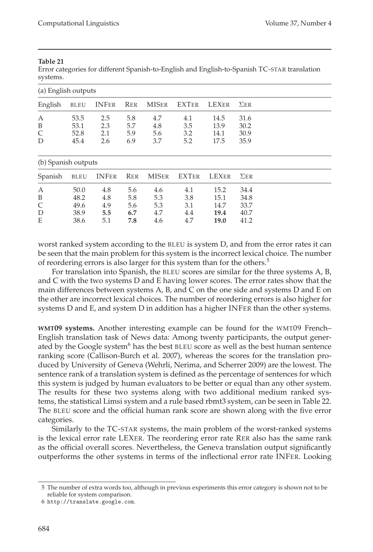Error categories for different Spanish-to-English and English-to-Spanish TC-STAR translation systems.

| (a) English outputs              |                                      |                                 |                                 |                                 |                                 |                                      |                                      |  |  |
|----------------------------------|--------------------------------------|---------------------------------|---------------------------------|---------------------------------|---------------------------------|--------------------------------------|--------------------------------------|--|--|
| English                          | <b>BLEU</b>                          | <b>INFER</b>                    | RER                             | <b>MISER</b>                    | <b>EXTER</b>                    | <b>LEXER</b>                         | $\Sigma$ ER                          |  |  |
| А<br>B<br>C<br>D                 | 53.5<br>53.1<br>52.8<br>45.4         | 2.5<br>2.3<br>2.1<br>2.6        | 5.8<br>5.7<br>5.9<br>6.9        | 4.7<br>4.8<br>5.6<br>3.7        | 4.1<br>3.5<br>3.2<br>5.2        | 14.5<br>13.9<br>14.1<br>17.5         | 31.6<br>30.2<br>30.9<br>35.9         |  |  |
| (b) Spanish outputs              |                                      |                                 |                                 |                                 |                                 |                                      |                                      |  |  |
| Spanish                          | <b>BLEU</b>                          | <b>INFER</b>                    | <b>RER</b>                      | <b>MISER</b>                    | <b>EXTER</b>                    | <b>LEXER</b>                         | $\Sigma$ ER                          |  |  |
| А<br>$\, {\bf B}$<br>C<br>D<br>E | 50.0<br>48.2<br>49.6<br>38.9<br>38.6 | 4.8<br>4.8<br>4.9<br>5.5<br>5.1 | 5.6<br>5.8<br>5.6<br>6.7<br>7.8 | 4.6<br>5.3<br>5.3<br>4.7<br>4.6 | 4.1<br>3.8<br>3.1<br>4.4<br>4.7 | 15.2<br>15.1<br>14.7<br>19.4<br>19.0 | 34.4<br>34.8<br>33.7<br>40.7<br>41.2 |  |  |

worst ranked system according to the BLEU is system D, and from the error rates it can be seen that the main problem for this system is the incorrect lexical choice. The number of reordering errors is also larger for this system than for the others.<sup>5</sup>

For translation into Spanish, the BLEU scores are similar for the three systems A, B, and C with the two systems D and E having lower scores. The error rates show that the main differences between systems A, B, and C on the one side and systems D and E on the other are incorrect lexical choices. The number of reordering errors is also higher for systems D and E, and system D in addition has a higher INFER than the other systems.

**WMT09 systems.** Another interesting example can be found for the WMT09 French– English translation task of News data: Among twenty participants, the output generated by the Google system<sup>6</sup> has the best BLEU score as well as the best human sentence ranking score (Callison-Burch et al. 2007), whereas the scores for the translation produced by University of Geneva (Wehrli, Nerima, and Scherrer 2009) are the lowest. The sentence rank of a translation system is defined as the percentage of sentences for which this system is judged by human evaluators to be better or equal than any other system. The results for these two systems along with two additional medium ranked systems, the statistical Limsi system and a rule based rbmt3 system, can be seen in Table 22. The BLEU score and the official human rank score are shown along with the five error categories.

Similarly to the TC-STAR systems, the main problem of the worst-ranked systems is the lexical error rate LEXER. The reordering error rate RER also has the same rank as the official overall scores. Nevertheless, the Geneva translation output significantly outperforms the other systems in terms of the inflectional error rate INFER. Looking

<sup>5</sup> The number of extra words too, although in previous experiments this error category is shown not to be reliable for system comparison.

<sup>6</sup> http://translate.google.com.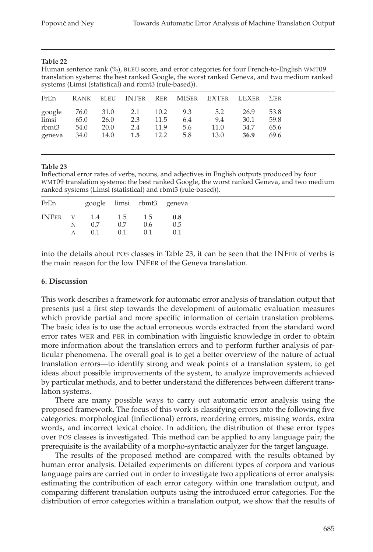Human sentence rank (%), BLEU score, and error categories for four French-to-English WMT09 translation systems: the best ranked Google, the worst ranked Geneva, and two medium ranked systems (Limsi (statistical) and rbmt3 (rule-based)).

| FrEn            |              |                      |                                                                  |                      |                          | RANK BLEU INFER RER MISER EXTER LEXER ZER |                              |                              |
|-----------------|--------------|----------------------|------------------------------------------------------------------|----------------------|--------------------------|-------------------------------------------|------------------------------|------------------------------|
| rbmt3<br>geneva | 54.0<br>34.0 | 26.0<br>20.0<br>14.0 | google 76.0 31.0 2.1<br>limsi 65.0 26.0 2.3<br>2.4<br>$1.5$ 12.2 | 10.2<br>11.5<br>11.9 | 9.3<br>6.4<br>5.6<br>5.8 | 5.2<br>9.4<br>11.0<br>13.0                | 26.9<br>30.1<br>34.7<br>36.9 | 53.8<br>59.8<br>65.6<br>69.6 |

#### **Table 23**

Inflectional error rates of verbs, nouns, and adjectives in English outputs produced by four WMT09 translation systems: the best ranked Google, the worst ranked Geneva, and two medium ranked systems (Limsi (statistical) and rbmt3 (rule-based)).

|   | FrEn google limsi rbmt3 geneva              |                  |                   |  |
|---|---------------------------------------------|------------------|-------------------|--|
| A | INFER v 1.4 1.5 1.5<br>N 0.7 0.7 0.6<br>0.1 | $0.1 \qquad 0.1$ | 0.8<br>0.5<br>0.1 |  |

into the details about POS classes in Table 23, it can be seen that the INFER of verbs is the main reason for the low INFER of the Geneva translation.

#### **6. Discussion**

This work describes a framework for automatic error analysis of translation output that presents just a first step towards the development of automatic evaluation measures which provide partial and more specific information of certain translation problems. The basic idea is to use the actual erroneous words extracted from the standard word error rates WER and PER in combination with linguistic knowledge in order to obtain more information about the translation errors and to perform further analysis of particular phenomena. The overall goal is to get a better overview of the nature of actual translation errors—to identify strong and weak points of a translation system, to get ideas about possible improvements of the system, to analyze improvements achieved by particular methods, and to better understand the differences between different translation systems.

There are many possible ways to carry out automatic error analysis using the proposed framework. The focus of this work is classifying errors into the following five categories: morphological (inflectional) errors, reordering errors, missing words, extra words, and incorrect lexical choice. In addition, the distribution of these error types over POS classes is investigated. This method can be applied to any language pair; the prerequisite is the availability of a morpho-syntactic analyzer for the target language.

The results of the proposed method are compared with the results obtained by human error analysis. Detailed experiments on different types of corpora and various language pairs are carried out in order to investigate two applications of error analysis: estimating the contribution of each error category within one translation output, and comparing different translation outputs using the introduced error categories. For the distribution of error categories within a translation output, we show that the results of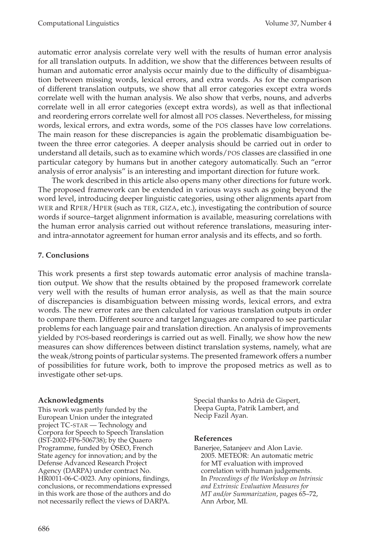automatic error analysis correlate very well with the results of human error analysis for all translation outputs. In addition, we show that the differences between results of human and automatic error analysis occur mainly due to the difficulty of disambiguation between missing words, lexical errors, and extra words. As for the comparison of different translation outputs, we show that all error categories except extra words correlate well with the human analysis. We also show that verbs, nouns, and adverbs correlate well in all error categories (except extra words), as well as that inflectional and reordering errors correlate well for almost all POS classes. Nevertheless, for missing words, lexical errors, and extra words, some of the POS classes have low correlations. The main reason for these discrepancies is again the problematic disambiguation between the three error categories. A deeper analysis should be carried out in order to understand all details, such as to examine which words/POS classes are classified in one particular category by humans but in another category automatically. Such an "error analysis of error analysis" is an interesting and important direction for future work.

The work described in this article also opens many other directions for future work. The proposed framework can be extended in various ways such as going beyond the word level, introducing deeper linguistic categories, using other alignments apart from WER and RPER/HPER (such as TER, GIZA, etc.), investigating the contribution of source words if source–target alignment information is available, measuring correlations with the human error analysis carried out without reference translations, measuring interand intra-annotator agreement for human error analysis and its effects, and so forth.

# **7. Conclusions**

This work presents a first step towards automatic error analysis of machine translation output. We show that the results obtained by the proposed framework correlate very well with the results of human error analysis, as well as that the main source of discrepancies is disambiguation between missing words, lexical errors, and extra words. The new error rates are then calculated for various translation outputs in order to compare them. Different source and target languages are compared to see particular problems for each language pair and translation direction. An analysis of improvements yielded by POS-based reorderings is carried out as well. Finally, we show how the new measures can show differences between distinct translation systems, namely, what are the weak/strong points of particular systems. The presented framework offers a number of possibilities for future work, both to improve the proposed metrics as well as to investigate other set-ups.

# **Acknowledgments**

This work was partly funded by the European Union under the integrated project TC-STAR — Technology and Corpora for Speech to Speech Translation (IST-2002-FP6-506738); by the Quaero Programme, funded by OSEO, French State agency for innovation; and by the Defense Advanced Research Project Agency (DARPA) under contract No. HR0011-06-C-0023. Any opinions, findings, conclusions, or recommendations expressed in this work are those of the authors and do not necessarily reflect the views of DARPA.

Special thanks to Adria de Gispert, ` Deepa Gupta, Patrik Lambert, and Necip Fazil Ayan.

### **References**

Banerjee, Satanjeev and Alon Lavie. 2005. METEOR: An automatic metric for MT evaluation with improved correlation with human judgements. In *Proceedings of the Workshop on Intrinsic and Extrinsic Evaluation Measures for MT and/or Summarization*, pages 65–72, Ann Arbor, MI.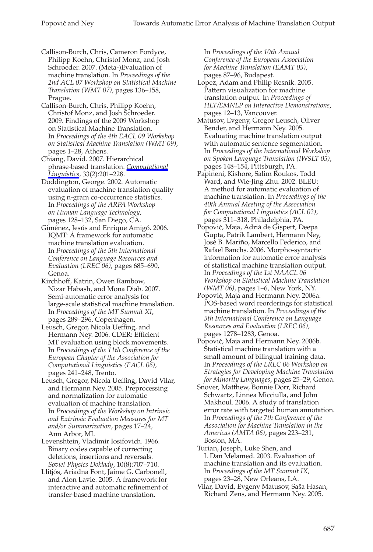- Callison-Burch, Chris, Cameron Fordyce, Philipp Koehn, Christof Monz, and Josh Schroeder. 2007. (Meta-)Evaluation of machine translation. In *Proceedings of the 2nd ACL 07 Workshop on Statistical Machine Translation (WMT 07)*, pages 136–158, Prague.
- Callison-Burch, Chris, Philipp Koehn, Christof Monz, and Josh Schroeder. 2009. Findings of the 2009 Workshop on Statistical Machine Translation. In *Proceedings of the 4th EACL 09 Workshop on Statistical Machine Translation (WMT 09)*, pages 1–28, Athens.
- Chiang, David. 2007. Hierarchical phrase-based translation. *Computational Linguistics*, 33(2):201–228.
- Doddington, George. 2002. Automatic evaluation of machine translation quality using n-gram co-occurrence statistics. In *Proceedings of the ARPA Workshop on Human Language Technology*, pages 128–132, San Diego, CA.
- Giménez, Jesús and Enrique Amigó. 2006. IQMT: A framework for automatic machine translation evaluation. In *Proceedings of the 5th International Conference on Language Resources and Evaluation (LREC 06)*, pages 685–690, Genoa.
- Kirchhoff, Katrin, Owen Rambow, Nizar Habash, and Mona Diab. 2007. Semi-automatic error analysis for large-scale statistical machine translation. In *Proceedings of the MT Summit XI*, pages 289–296, Copenhagen.
- Leusch, Gregor, Nicola Ueffing, and Hermann Ney. 2006. CDER: Efficient MT evaluation using block movements. In *Proceedings of the 11th Conference of the European Chapter of the Association for Computational Linguistics (EACL 06)*, pages 241–248, Trento.
- Leusch, Gregor, Nicola Ueffing, David Vilar, and Hermann Ney. 2005. Preprocessing and normalization for automatic evaluation of machine translation. In *Proceedings of the Workshop on Intrinsic and Extrinsic Evaluation Measures for MT and/or Summarization*, pages 17–24, Ann Arbor, MI.
- Levenshtein, Vladimir Iosifovich. 1966. Binary codes capable of correcting deletions, insertions and reversals. *Soviet Physics Doklady*, 10(8):707–710.
- Llitjós, Ariadna Font, Jaime G. Carbonell, and Alon Lavie. 2005. A framework for interactive and automatic refinement of transfer-based machine translation.

In *Proceedings of the 10th Annual Conference of the European Association for Machine Translation (EAMT 05)*, pages 87–96, Budapest.

- Lopez, Adam and Philip Resnik. 2005. Pattern visualization for machine translation output. In *Proceedings of HLT/EMNLP on Interactive Demonstrations*, pages 12–13, Vancouver.
- Matusov, Evgeny, Gregor Leusch, Oliver Bender, and Hermann Ney. 2005. Evaluating machine translation output with automatic sentence segmentation. In *Proceedings of the International Workshop on Spoken Language Translation (IWSLT 05)*, pages 148–154, Pittsburgh, PA.
- Papineni, Kishore, Salim Roukos, Todd Ward, and Wie-Jing Zhu. 2002. BLEU: A method for automatic evaluation of machine translation. In *Proceedings of the 40th Annual Meeting of the Association for Computational Linguistics (ACL 02)*, pages 311–318, Philadelphia, PA.
- Popović, Maja, Adrià de Gispert, Deepa Gupta, Patrik Lambert, Hermann Ney, José B. Mariño, Marcello Federico, and Rafael Banchs. 2006. Morpho-syntactic information for automatic error analysis of statistical machine translation output. In *Proceedings of the 1st NAACL 06 Workshop on Statistical Machine Translation (WMT 06)*, pages 1–6, New York, NY.
- Popović, Maja and Hermann Ney. 2006a. POS-based word reorderings for statistical machine translation. In *Proceedings of the 5th International Conference on Language Resources and Evaluation (LREC 06)*, pages 1278–1283, Genoa.
- Popović, Maja and Hermann Ney. 2006b. Statistical machine translation with a small amount of bilingual training data. In *Proceedings of the LREC 06 Workshop on Strategies for Developing Machine Translation for Minority Languages*, pages 25–29, Genoa.
- Snover, Matthew, Bonnie Dorr, Richard Schwartz, Linnea Micciulla, and John Makhoul. 2006. A study of translation error rate with targeted human annotation. In *Proceedings of the 7th Conference of the Association for Machine Translation in the Americas (AMTA 06)*, pages 223–231, Boston, MA.
- Turian, Joseph, Luke Shen, and I. Dan Melamed. 2003. Evaluation of machine translation and its evaluation. In *Proceedings of the MT Summit IX*, pages 23–28, New Orleans, LA.
- Vilar, David, Evgeny Matusov, Saša Hasan, Richard Zens, and Hermann Ney. 2005.